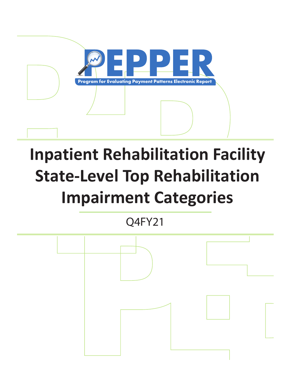

# **Inpatient Rehabilitation Facility State-Level Top Rehabilitation Impairment Categories**

Q4FY21

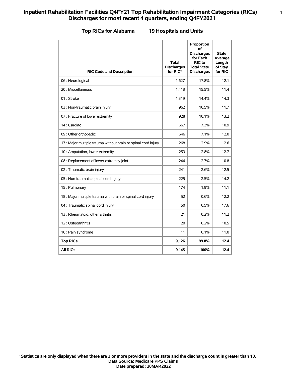#### **Top RICs for Alabama 19 Hospitals and Units**

| <b>RIC Code and Description</b>                                | <b>Total</b><br><b>Discharges</b><br>for RIC* | Proportion<br>οf<br><b>Discharges</b><br>for Each<br><b>RIC</b> to<br><b>Total State</b><br><b>Discharges</b> | <b>State</b><br>Average<br>Length<br>of Stay<br>for RIC |
|----------------------------------------------------------------|-----------------------------------------------|---------------------------------------------------------------------------------------------------------------|---------------------------------------------------------|
| 06 : Neurological                                              | 1,627                                         | 17.8%                                                                                                         | 12.1                                                    |
| 20: Miscellaneous                                              | 1,418                                         | 15.5%                                                                                                         | 11.4                                                    |
| 01: Stroke                                                     | 1,319                                         | 14.4%                                                                                                         | 14.3                                                    |
| 03 : Non-traumatic brain injury                                | 962                                           | 10.5%                                                                                                         | 11.7                                                    |
| 07 : Fracture of lower extremity                               | 928                                           | 10.1%                                                                                                         | 13.2                                                    |
| 14 : Cardiac                                                   | 667                                           | 7.3%                                                                                                          | 10.9                                                    |
| 09 : Other orthopedic                                          | 646                                           | 7.1%                                                                                                          | 12.0                                                    |
| 17 : Major multiple trauma without brain or spinal cord injury | 268                                           | 2.9%                                                                                                          | 12.6                                                    |
| 10 : Amputation, lower extremity                               | 253                                           | 2.8%                                                                                                          | 12.7                                                    |
| 08 : Replacement of lower extremity joint                      | 244                                           | 2.7%                                                                                                          | 10.8                                                    |
| 02 : Traumatic brain injury                                    | 241                                           | 2.6%                                                                                                          | 12.5                                                    |
| 05 : Non-traumatic spinal cord injury                          | 225                                           | 2.5%                                                                                                          | 14.2                                                    |
| 15: Pulmonary                                                  | 174                                           | 1.9%                                                                                                          | 11.1                                                    |
| 18 : Major multiple trauma with brain or spinal cord injury    | 52                                            | 0.6%                                                                                                          | 12.2                                                    |
| 04 : Traumatic spinal cord injury                              | 50                                            | 0.5%                                                                                                          | 17.6                                                    |
| 13 : Rheumatoid, other arthritis                               | 21                                            | 0.2%                                                                                                          | 11.2                                                    |
| 12: Osteoarthritis                                             | 20                                            | 0.2%                                                                                                          | 10.5                                                    |
| 16 : Pain syndrome                                             | 11                                            | 0.1%                                                                                                          | 11.0                                                    |
| <b>Top RICs</b>                                                | 9,126                                         | 99.8%                                                                                                         | 12.4                                                    |
| <b>All RICs</b>                                                | 9,145                                         | 100%                                                                                                          | 12.4                                                    |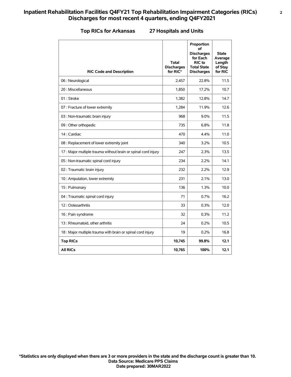#### **Top RICs for Arkansas 27 Hospitals and Units**

| <b>RIC Code and Description</b>                                | <b>Total</b><br><b>Discharges</b><br>for RIC* | Proportion<br>οf<br><b>Discharges</b><br>for Each<br><b>RIC</b> to<br><b>Total State</b><br><b>Discharges</b> | <b>State</b><br>Average<br>Length<br>of Stay<br>for RIC |
|----------------------------------------------------------------|-----------------------------------------------|---------------------------------------------------------------------------------------------------------------|---------------------------------------------------------|
| 06 : Neurological                                              | 2,457                                         | 22.8%                                                                                                         | 11.5                                                    |
| 20 : Miscellaneous                                             | 1,850                                         | 17.2%                                                                                                         | 10.7                                                    |
| 01: Stroke                                                     | 1,382                                         | 12.8%                                                                                                         | 14.7                                                    |
| 07 : Fracture of lower extremity                               | 1,284                                         | 11.9%                                                                                                         | 12.6                                                    |
| 03 : Non-traumatic brain injury                                | 968                                           | 9.0%                                                                                                          | 11.5                                                    |
| 09 : Other orthopedic                                          | 735                                           | 6.8%                                                                                                          | 11.8                                                    |
| 14 : Cardiac                                                   | 470                                           | 4.4%                                                                                                          | 11.0                                                    |
| 08 : Replacement of lower extremity joint                      | 340                                           | 3.2%                                                                                                          | 10.5                                                    |
| 17 : Major multiple trauma without brain or spinal cord injury | 247                                           | 2.3%                                                                                                          | 13.5                                                    |
| 05 : Non-traumatic spinal cord injury                          | 234                                           | 2.2%                                                                                                          | 14.1                                                    |
| 02 : Traumatic brain injury                                    | 232                                           | 2.2%                                                                                                          | 12.9                                                    |
| 10 : Amputation, lower extremity                               | 231                                           | 2.1%                                                                                                          | 13.0                                                    |
| 15: Pulmonary                                                  | 136                                           | 1.3%                                                                                                          | 10.0                                                    |
| 04 : Traumatic spinal cord injury                              | 71                                            | 0.7%                                                                                                          | 16.2                                                    |
| 12: Osteoarthritis                                             | 33                                            | 0.3%                                                                                                          | 12.0                                                    |
| 16 : Pain syndrome                                             | 32                                            | 0.3%                                                                                                          | 11.2                                                    |
| 13 : Rheumatoid, other arthritis                               | 24                                            | 0.2%                                                                                                          | 10.5                                                    |
| 18 : Major multiple trauma with brain or spinal cord injury    | 19                                            | 0.2%                                                                                                          | 16.8                                                    |
| <b>Top RICs</b>                                                | 10,745                                        | 99.8%                                                                                                         | 12.1                                                    |
| <b>All RICs</b>                                                | 10,765                                        | 100%                                                                                                          | 12.1                                                    |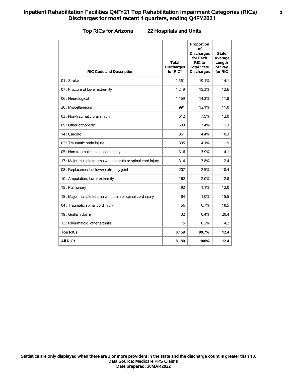#### **Top RICs for Arizona 22 Hospitals and Units**

| <b>RIC Code and Description</b>                                | <b>Total</b><br><b>Discharges</b><br>for RIC* | Proportion<br>οf<br><b>Discharges</b><br>for Each<br>RIC to<br><b>Total State</b><br><b>Discharges</b> | <b>State</b><br>Average<br>Length<br>of Stay<br>for RIC |
|----------------------------------------------------------------|-----------------------------------------------|--------------------------------------------------------------------------------------------------------|---------------------------------------------------------|
| 01: Stroke                                                     | 1,561                                         | 19.1%                                                                                                  | 14.1                                                    |
| 07 : Fracture of lower extremity                               | 1,249                                         | 15.3%                                                                                                  | 12.6                                                    |
| 06 : Neurological                                              | 1,169                                         | 14.3%                                                                                                  | 11.8                                                    |
| 20 : Miscellaneous                                             | 991                                           | 12.1%                                                                                                  | 11.0                                                    |
| 03 : Non-traumatic brain injury                                | 612                                           | 7.5%                                                                                                   | 12.0                                                    |
| 09 : Other orthopedic                                          | 603                                           | 7.4%                                                                                                   | 11.3                                                    |
| 14 : Cardiac                                                   | 361                                           | 4.4%                                                                                                   | 10.3                                                    |
| 02 : Traumatic brain injury                                    | 335                                           | 4.1%                                                                                                   | 11.9                                                    |
| 05 : Non-traumatic spinal cord injury                          | 316                                           | 3.9%                                                                                                   | 14.1                                                    |
| 17 : Major multiple trauma without brain or spinal cord injury | 314                                           | 3.8%                                                                                                   | 12.4                                                    |
| 08 : Replacement of lower extremity joint                      | 207                                           | 2.5%                                                                                                   | 10.4                                                    |
| 10 : Amputation, lower extremity                               | 162                                           | 2.0%                                                                                                   | 12.8                                                    |
| 15: Pulmonary                                                  | 92                                            | 1.1%                                                                                                   | 12.0                                                    |
| 18 : Major multiple trauma with brain or spinal cord injury    | 84                                            | 1.0%                                                                                                   | 15.5                                                    |
| 04 : Traumatic spinal cord injury                              | 56                                            | 0.7%                                                                                                   | 18.5                                                    |
| 19 : Guillain Barre                                            | 32                                            | 0.4%                                                                                                   | 20.4                                                    |
| 13 : Rheumatoid, other arthritis                               | 15                                            | 0.2%                                                                                                   | 14.2                                                    |
| <b>Top RICs</b>                                                | 8,159                                         | 99.7%                                                                                                  | 12.4                                                    |
| <b>All RICs</b>                                                | 8,180                                         | 100%                                                                                                   | 12.4                                                    |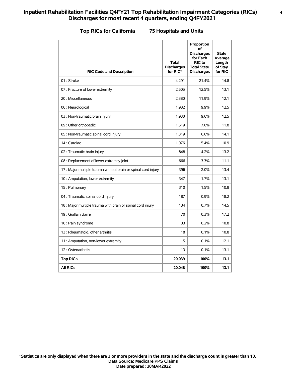#### **Top RICs for California 75 Hospitals and Units**

| <b>RIC Code and Description</b>                               | <b>Total</b><br><b>Discharges</b><br>for RIC* | Proportion<br>οf<br><b>Discharges</b><br>for Each<br>RIC to<br><b>Total State</b><br><b>Discharges</b> | <b>State</b><br>Average<br>Length<br>of Stay<br>for RIC |
|---------------------------------------------------------------|-----------------------------------------------|--------------------------------------------------------------------------------------------------------|---------------------------------------------------------|
| 01: Stroke                                                    | 4,291                                         | 21.4%                                                                                                  | 14.8                                                    |
| 07 : Fracture of lower extremity                              | 2,505                                         | 12.5%                                                                                                  | 13.1                                                    |
| 20 : Miscellaneous                                            | 2,380                                         | 11.9%                                                                                                  | 12.1                                                    |
| 06 : Neurological                                             | 1,982                                         | 9.9%                                                                                                   | 12.5                                                    |
| 03 : Non-traumatic brain injury                               | 1,930                                         | 9.6%                                                                                                   | 12.5                                                    |
| 09 : Other orthopedic                                         | 1,519                                         | 7.6%                                                                                                   | 11.8                                                    |
| 05 : Non-traumatic spinal cord injury                         | 1,319                                         | 6.6%                                                                                                   | 14.1                                                    |
| 14 : Cardiac                                                  | 1,076                                         | 5.4%                                                                                                   | 10.9                                                    |
| 02 : Traumatic brain injury                                   | 848                                           | 4.2%                                                                                                   | 13.2                                                    |
| 08 : Replacement of lower extremity joint                     | 666                                           | 3.3%                                                                                                   | 11.1                                                    |
| 17: Major multiple trauma without brain or spinal cord injury | 396                                           | 2.0%                                                                                                   | 13.4                                                    |
| 10 : Amputation, lower extremity                              | 347                                           | 1.7%                                                                                                   | 13.1                                                    |
| 15: Pulmonary                                                 | 310                                           | 1.5%                                                                                                   | 10.8                                                    |
| 04 : Traumatic spinal cord injury                             | 187                                           | 0.9%                                                                                                   | 18.2                                                    |
| 18 : Major multiple trauma with brain or spinal cord injury   | 134                                           | 0.7%                                                                                                   | 14.5                                                    |
| 19 : Guillain Barre                                           | 70                                            | 0.3%                                                                                                   | 17.2                                                    |
| 16 : Pain syndrome                                            | 33                                            | 0.2%                                                                                                   | 10.8                                                    |
| 13 : Rheumatoid, other arthritis                              | 18                                            | 0.1%                                                                                                   | 10.8                                                    |
| 11 : Amputation, non-lower extremity                          | 15                                            | 0.1%                                                                                                   | 12.1                                                    |
| 12: Osteoarthritis                                            | 13                                            | 0.1%                                                                                                   | 13.1                                                    |
| <b>Top RICs</b>                                               | 20,039                                        | 100%                                                                                                   | 13.1                                                    |
| <b>All RICs</b>                                               | 20,048                                        | 100%                                                                                                   | 13.1                                                    |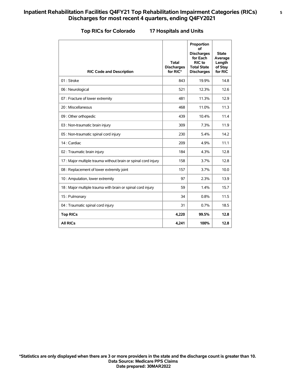#### **Top RICs for Colorado 17 Hospitals and Units**

| <b>RIC Code and Description</b>                                | Total<br><b>Discharges</b><br>for RIC* | Proportion<br>οf<br><b>Discharges</b><br>for Each<br>RIC to<br><b>Total State</b><br><b>Discharges</b> | <b>State</b><br>Average<br>Length<br>of Stay<br>for RIC |
|----------------------------------------------------------------|----------------------------------------|--------------------------------------------------------------------------------------------------------|---------------------------------------------------------|
| 01: Stroke                                                     | 843                                    | 19.9%                                                                                                  | 14.8                                                    |
| 06 : Neurological                                              | 521                                    | 12.3%                                                                                                  | 12.6                                                    |
| 07 : Fracture of lower extremity                               | 481                                    | 11.3%                                                                                                  | 12.9                                                    |
| 20 : Miscellaneous                                             | 468                                    | 11.0%                                                                                                  | 11.3                                                    |
| 09 : Other orthopedic                                          | 439                                    | 10.4%                                                                                                  | 11.4                                                    |
| 03 : Non-traumatic brain injury                                | 309                                    | 7.3%                                                                                                   | 11.9                                                    |
| 05 : Non-traumatic spinal cord injury                          | 230                                    | 5.4%                                                                                                   | 14.2                                                    |
| 14 : Cardiac                                                   | 209                                    | 4.9%                                                                                                   | 11.1                                                    |
| 02 : Traumatic brain injury                                    | 184                                    | 4.3%                                                                                                   | 12.8                                                    |
| 17 : Major multiple trauma without brain or spinal cord injury | 158                                    | 3.7%                                                                                                   | 12.8                                                    |
| 08 : Replacement of lower extremity joint                      | 157                                    | 3.7%                                                                                                   | 10.0                                                    |
| 10 : Amputation, lower extremity                               | 97                                     | 2.3%                                                                                                   | 13.9                                                    |
| 18 : Major multiple trauma with brain or spinal cord injury    | 59                                     | 1.4%                                                                                                   | 15.7                                                    |
| 15: Pulmonary                                                  | 34                                     | 0.8%                                                                                                   | 11.5                                                    |
| 04 : Traumatic spinal cord injury                              | 31                                     | 0.7%                                                                                                   | 18.5                                                    |
| <b>Top RICs</b>                                                | 4,220                                  | 99.5%                                                                                                  | 12.8                                                    |
| <b>All RICs</b>                                                | 4,241                                  | 100%                                                                                                   | 12.8                                                    |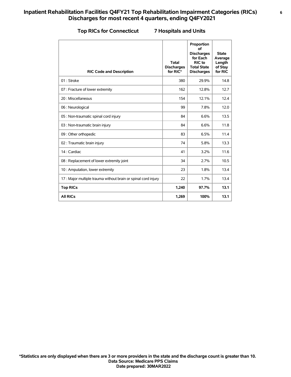#### **Top RICs for Connecticut 7 Hospitals and Units**

| <b>RIC Code and Description</b>                                | <b>Total</b><br><b>Discharges</b><br>for RIC* | Proportion<br>οf<br><b>Discharges</b><br>for Each<br>RIC to<br><b>Total State</b><br><b>Discharges</b> | <b>State</b><br>Average<br>Length<br>of Stay<br>for RIC |
|----------------------------------------------------------------|-----------------------------------------------|--------------------------------------------------------------------------------------------------------|---------------------------------------------------------|
| 01: Stroke                                                     | 380                                           | 29.9%                                                                                                  | 14.8                                                    |
| 07 : Fracture of lower extremity                               | 162                                           | 12.8%                                                                                                  | 12.7                                                    |
| 20 : Miscellaneous                                             | 154                                           | 12.1%                                                                                                  | 12.4                                                    |
| 06 : Neurological                                              | 99                                            | 7.8%                                                                                                   | 12.0                                                    |
| 05 : Non-traumatic spinal cord injury                          | 84                                            | 6.6%                                                                                                   | 13.5                                                    |
| 03 : Non-traumatic brain injury                                | 84                                            | 6.6%                                                                                                   | 11.8                                                    |
| 09 : Other orthopedic                                          | 83                                            | 6.5%                                                                                                   | 11.4                                                    |
| 02 : Traumatic brain injury                                    | 74                                            | 5.8%                                                                                                   | 13.3                                                    |
| 14 : Cardiac                                                   | 41                                            | 3.2%                                                                                                   | 11.6                                                    |
| 08 : Replacement of lower extremity joint                      | 34                                            | 2.7%                                                                                                   | 10.5                                                    |
| 10 : Amputation, lower extremity                               | 23                                            | 1.8%                                                                                                   | 13.4                                                    |
| 17 : Major multiple trauma without brain or spinal cord injury | 22                                            | 1.7%                                                                                                   | 13.4                                                    |
| <b>Top RICs</b>                                                | 1,240                                         | 97.7%                                                                                                  | 13.1                                                    |
| <b>All RICs</b>                                                | 1,269                                         | 100%                                                                                                   | 13.1                                                    |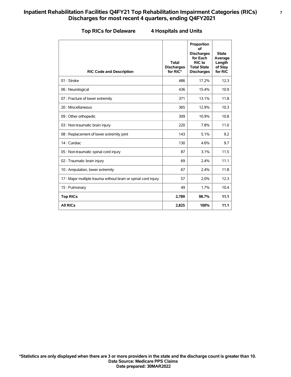#### **Top RICs for Delaware 4 Hospitals and Units**

| <b>RIC Code and Description</b>                                | <b>Total</b><br><b>Discharges</b><br>for RIC* | Proportion<br>of<br><b>Discharges</b><br>for Each<br>RIC to<br><b>Total State</b><br><b>Discharges</b> | <b>State</b><br>Average<br>Length<br>of Stay<br>for RIC |
|----------------------------------------------------------------|-----------------------------------------------|--------------------------------------------------------------------------------------------------------|---------------------------------------------------------|
| 01: Stroke                                                     | 486                                           | 17.2%                                                                                                  | 12.3                                                    |
| 06 : Neurological                                              | 436                                           | 15.4%                                                                                                  | 10.9                                                    |
| 07 : Fracture of lower extremity                               | 371                                           | 13.1%                                                                                                  | 11.8                                                    |
| 20 : Miscellaneous                                             | 365                                           | 12.9%                                                                                                  | 10.3                                                    |
| 09 : Other orthopedic                                          | 309                                           | 10.9%                                                                                                  | 10.8                                                    |
| 03 : Non-traumatic brain injury                                | 220                                           | 7.8%                                                                                                   | 11.0                                                    |
| 08 : Replacement of lower extremity joint                      | 143                                           | 5.1%                                                                                                   | 9.2                                                     |
| 14 : Cardiac                                                   | 130                                           | 4.6%                                                                                                   | 9.7                                                     |
| 05 : Non-traumatic spinal cord injury                          | 87                                            | 3.1%                                                                                                   | 11.5                                                    |
| 02 : Traumatic brain injury                                    | 69                                            | 2.4%                                                                                                   | 11.1                                                    |
| 10 : Amputation, lower extremity                               | 67                                            | 2.4%                                                                                                   | 11.8                                                    |
| 17 : Major multiple trauma without brain or spinal cord injury | 57                                            | 2.0%                                                                                                   | 12.3                                                    |
| 15: Pulmonary                                                  | 49                                            | 1.7%                                                                                                   | 10.4                                                    |
| <b>Top RICs</b>                                                | 2,789                                         | 98.7%                                                                                                  | 11.1                                                    |
| <b>All RICs</b>                                                | 2,825                                         | 100%                                                                                                   | 11.1                                                    |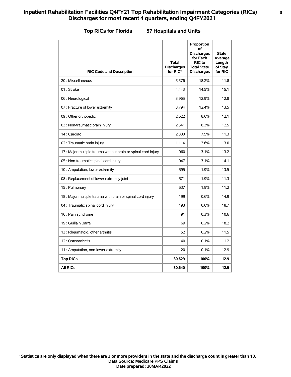#### **Top RICs for Florida 57 Hospitals and Units**

| <b>RIC Code and Description</b>                                | <b>Total</b><br><b>Discharges</b><br>for RIC* | Proportion<br>οf<br><b>Discharges</b><br>for Each<br><b>RIC</b> to<br><b>Total State</b><br><b>Discharges</b> | <b>State</b><br>Average<br>Length<br>of Stay<br>for RIC |
|----------------------------------------------------------------|-----------------------------------------------|---------------------------------------------------------------------------------------------------------------|---------------------------------------------------------|
| 20 : Miscellaneous                                             | 5,576                                         | 18.2%                                                                                                         | 11.8                                                    |
| 01: Stroke                                                     | 4.443                                         | 14.5%                                                                                                         | 15.1                                                    |
| 06 : Neurological                                              | 3,965                                         | 12.9%                                                                                                         | 12.8                                                    |
| 07 : Fracture of lower extremity                               | 3,794                                         | 12.4%                                                                                                         | 13.5                                                    |
| 09 : Other orthopedic                                          | 2,622                                         | 8.6%                                                                                                          | 12.1                                                    |
| 03 : Non-traumatic brain injury                                | 2,541                                         | 8.3%                                                                                                          | 12.5                                                    |
| 14 : Cardiac                                                   | 2,300                                         | 7.5%                                                                                                          | 11.3                                                    |
| 02 : Traumatic brain injury                                    | 1,114                                         | 3.6%                                                                                                          | 13.0                                                    |
| 17 : Major multiple trauma without brain or spinal cord injury | 960                                           | 3.1%                                                                                                          | 13.2                                                    |
| 05 : Non-traumatic spinal cord injury                          | 947                                           | 3.1%                                                                                                          | 14.1                                                    |
| 10 : Amputation, lower extremity                               | 595                                           | 1.9%                                                                                                          | 13.5                                                    |
| 08 : Replacement of lower extremity joint                      | 571                                           | 1.9%                                                                                                          | 11.3                                                    |
| 15: Pulmonary                                                  | 537                                           | 1.8%                                                                                                          | 11.2                                                    |
| 18 : Major multiple trauma with brain or spinal cord injury    | 199                                           | 0.6%                                                                                                          | 14.9                                                    |
| 04 : Traumatic spinal cord injury                              | 193                                           | 0.6%                                                                                                          | 18.7                                                    |
| 16 : Pain syndrome                                             | 91                                            | 0.3%                                                                                                          | 10.6                                                    |
| 19 : Guillain Barre                                            | 69                                            | 0.2%                                                                                                          | 18.2                                                    |
| 13 : Rheumatoid, other arthritis                               | 52                                            | 0.2%                                                                                                          | 11.5                                                    |
| 12: Osteoarthritis                                             | 40                                            | 0.1%                                                                                                          | 11.2                                                    |
| 11 : Amputation, non-lower extremity                           | 20                                            | 0.1%                                                                                                          | 12.9                                                    |
| <b>Top RICs</b>                                                | 30,629                                        | 100%                                                                                                          | 12.9                                                    |
| <b>All RICs</b>                                                | 30,640                                        | 100%                                                                                                          | 12.9                                                    |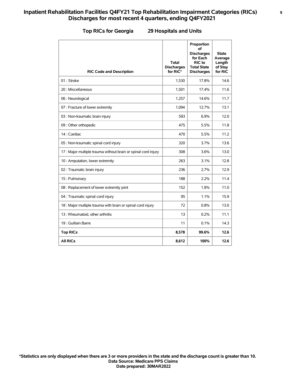#### **Top RICs for Georgia 29 Hospitals and Units**

| <b>RIC Code and Description</b>                                | <b>Total</b><br><b>Discharges</b><br>for RIC* | Proportion<br>οf<br><b>Discharges</b><br>for Each<br>RIC to<br><b>Total State</b><br><b>Discharges</b> | <b>State</b><br>Average<br>Length<br>of Stay<br>for RIC |
|----------------------------------------------------------------|-----------------------------------------------|--------------------------------------------------------------------------------------------------------|---------------------------------------------------------|
| 01: Stroke                                                     | 1,530                                         | 17.8%                                                                                                  | 14.6                                                    |
| 20 : Miscellaneous                                             | 1,501                                         | 17.4%                                                                                                  | 11.6                                                    |
| 06 : Neurological                                              | 1,257                                         | 14.6%                                                                                                  | 11.7                                                    |
| 07 : Fracture of lower extremity                               | 1,094                                         | 12.7%                                                                                                  | 13.1                                                    |
| 03 : Non-traumatic brain injury                                | 593                                           | 6.9%                                                                                                   | 12.0                                                    |
| 09 : Other orthopedic                                          | 475                                           | 5.5%                                                                                                   | 11.8                                                    |
| 14 : Cardiac                                                   | 470                                           | 5.5%                                                                                                   | 11.2                                                    |
| 05 : Non-traumatic spinal cord injury                          | 320                                           | 3.7%                                                                                                   | 13.6                                                    |
| 17 : Major multiple trauma without brain or spinal cord injury | 308                                           | 3.6%                                                                                                   | 13.0                                                    |
| 10 : Amputation, lower extremity                               | 263                                           | 3.1%                                                                                                   | 12.8                                                    |
| 02 : Traumatic brain injury                                    | 236                                           | 2.7%                                                                                                   | 12.9                                                    |
| 15: Pulmonary                                                  | 188                                           | 2.2%                                                                                                   | 11.4                                                    |
| 08 : Replacement of lower extremity joint                      | 152                                           | 1.8%                                                                                                   | 11.0                                                    |
| 04 : Traumatic spinal cord injury                              | 95                                            | 1.1%                                                                                                   | 15.9                                                    |
| 18 : Major multiple trauma with brain or spinal cord injury    | 72                                            | 0.8%                                                                                                   | 13.0                                                    |
| 13 : Rheumatoid, other arthritis                               | 13                                            | 0.2%                                                                                                   | 11.1                                                    |
| 19 : Guillain Barre                                            | 11                                            | 0.1%                                                                                                   | 14.3                                                    |
| <b>Top RICs</b>                                                | 8,578                                         | 99.6%                                                                                                  | 12.6                                                    |
| <b>All RICs</b>                                                | 8,612                                         | 100%                                                                                                   | 12.6                                                    |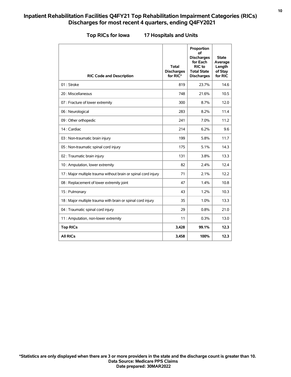| <b>RIC Code and Description</b>                                | Total<br><b>Discharges</b><br>for RIC* | Proportion<br>οf<br><b>Discharges</b><br>for Each<br>RIC to<br><b>Total State</b><br><b>Discharges</b> | <b>State</b><br>Average<br>Length<br>of Stay<br>for RIC |
|----------------------------------------------------------------|----------------------------------------|--------------------------------------------------------------------------------------------------------|---------------------------------------------------------|
| 01: Stroke                                                     | 819                                    | 23.7%                                                                                                  | 14.6                                                    |
| 20 : Miscellaneous                                             | 748                                    | 21.6%                                                                                                  | 10.5                                                    |
| 07 : Fracture of lower extremity                               | 300                                    | 8.7%                                                                                                   | 12.0                                                    |
| 06 : Neurological                                              | 283                                    | 8.2%                                                                                                   | 11.4                                                    |
| 09 : Other orthopedic                                          | 241                                    | 7.0%                                                                                                   | 11.2                                                    |
| 14 : Cardiac                                                   | 214                                    | 6.2%                                                                                                   | 9.6                                                     |
| 03 : Non-traumatic brain injury                                | 199                                    | 5.8%                                                                                                   | 11.7                                                    |
| 05 : Non-traumatic spinal cord injury                          | 175                                    | 5.1%                                                                                                   | 14.3                                                    |
| 02 : Traumatic brain injury                                    | 131                                    | 3.8%                                                                                                   | 13.3                                                    |
| 10 : Amputation, lower extremity                               | 82                                     | 2.4%                                                                                                   | 12.4                                                    |
| 17 : Major multiple trauma without brain or spinal cord injury | 71                                     | 2.1%                                                                                                   | 12.2                                                    |
| 08 : Replacement of lower extremity joint                      | 47                                     | 1.4%                                                                                                   | 10.8                                                    |
| 15: Pulmonary                                                  | 43                                     | 1.2%                                                                                                   | 10.3                                                    |
| 18 : Major multiple trauma with brain or spinal cord injury    | 35                                     | 1.0%                                                                                                   | 13.3                                                    |
| 04 : Traumatic spinal cord injury                              | 29                                     | 0.8%                                                                                                   | 21.0                                                    |
| 11 : Amputation, non-lower extremity                           | 11                                     | 0.3%                                                                                                   | 13.0                                                    |
| <b>Top RICs</b>                                                | 3,428                                  | 99.1%                                                                                                  | 12.3                                                    |
| <b>All RICs</b>                                                | 3.458                                  | 100%                                                                                                   | 12.3                                                    |

#### **Top RICs for Iowa 17 Hospitals and Units**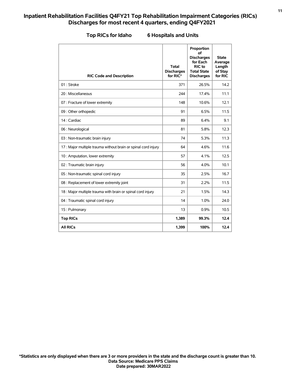| <b>RIC Code and Description</b>                                | Total<br><b>Discharges</b><br>for RIC* | Proportion<br>of<br><b>Discharges</b><br>for Each<br>RIC to<br><b>Total State</b><br><b>Discharges</b> | <b>State</b><br>Average<br>Length<br>of Stay<br>for RIC |
|----------------------------------------------------------------|----------------------------------------|--------------------------------------------------------------------------------------------------------|---------------------------------------------------------|
| 01: Stroke                                                     | 371                                    | 26.5%                                                                                                  | 14.2                                                    |
| 20 : Miscellaneous                                             | 244                                    | 17.4%                                                                                                  | 11.1                                                    |
| 07 : Fracture of lower extremity                               | 148                                    | 10.6%                                                                                                  | 12.1                                                    |
| 09 : Other orthopedic                                          | 91                                     | 6.5%                                                                                                   | 11.5                                                    |
| 14 : Cardiac                                                   | 89                                     | 6.4%                                                                                                   | 9.1                                                     |
| 06 : Neurological                                              | 81                                     | 5.8%                                                                                                   | 12.3                                                    |
| 03 : Non-traumatic brain injury                                | 74                                     | 5.3%                                                                                                   | 11.3                                                    |
| 17 : Major multiple trauma without brain or spinal cord injury | 64                                     | 4.6%                                                                                                   | 11.6                                                    |
| 10 : Amputation, lower extremity                               | 57                                     | 4.1%                                                                                                   | 12.5                                                    |
| 02 : Traumatic brain injury                                    | 56                                     | 4.0%                                                                                                   | 10.1                                                    |
| 05 : Non-traumatic spinal cord injury                          | 35                                     | 2.5%                                                                                                   | 16.7                                                    |
| 08 : Replacement of lower extremity joint                      | 31                                     | 2.2%                                                                                                   | 11.5                                                    |
| 18 : Major multiple trauma with brain or spinal cord injury    | 21                                     | 1.5%                                                                                                   | 14.3                                                    |
| 04 : Traumatic spinal cord injury                              | 14                                     | 1.0%                                                                                                   | 24.0                                                    |
| 15: Pulmonary                                                  | 13                                     | 0.9%                                                                                                   | 10.5                                                    |
| <b>Top RICs</b>                                                | 1,389                                  | 99.3%                                                                                                  | 12.4                                                    |
| <b>All RICs</b>                                                | 1.399                                  | 100%                                                                                                   | 12.4                                                    |

#### **Top RICs for Idaho 6 Hospitals and Units**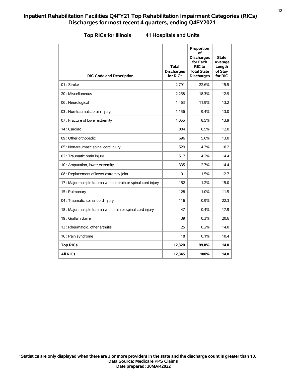| <b>RIC Code and Description</b>                                | <b>Total</b><br><b>Discharges</b><br>for RIC* | Proportion<br>οf<br><b>Discharges</b><br>for Each<br>RIC to<br><b>Total State</b><br><b>Discharges</b> | State<br>Average<br>Length<br>of Stay<br>for RIC |
|----------------------------------------------------------------|-----------------------------------------------|--------------------------------------------------------------------------------------------------------|--------------------------------------------------|
| 01: Stroke                                                     | 2,791                                         | 22.6%                                                                                                  | 15.5                                             |
| 20 : Miscellaneous                                             | 2,258                                         | 18.3%                                                                                                  | 12.9                                             |
| 06 : Neurological                                              | 1,463                                         | 11.9%                                                                                                  | 13.2                                             |
| 03 : Non-traumatic brain injury                                | 1,156                                         | 9.4%                                                                                                   | 13.0                                             |
| 07 : Fracture of lower extremity                               | 1,055                                         | 8.5%                                                                                                   | 13.9                                             |
| 14 : Cardiac                                                   | 804                                           | 6.5%                                                                                                   | 12.0                                             |
| 09 : Other orthopedic                                          | 696                                           | 5.6%                                                                                                   | 13.0                                             |
| 05 : Non-traumatic spinal cord injury                          | 529                                           | 4.3%                                                                                                   | 16.2                                             |
| 02 : Traumatic brain injury                                    | 517                                           | 4.2%                                                                                                   | 14.4                                             |
| 10 : Amputation, lower extremity                               | 335                                           | 2.7%                                                                                                   | 14.4                                             |
| 08 : Replacement of lower extremity joint                      | 191                                           | 1.5%                                                                                                   | 12.7                                             |
| 17 : Major multiple trauma without brain or spinal cord injury | 152                                           | 1.2%                                                                                                   | 15.0                                             |
| 15: Pulmonary                                                  | 128                                           | 1.0%                                                                                                   | 11.5                                             |
| 04 : Traumatic spinal cord injury                              | 116                                           | 0.9%                                                                                                   | 22.3                                             |
| 18 : Major multiple trauma with brain or spinal cord injury    | 47                                            | 0.4%                                                                                                   | 17.9                                             |
| 19 : Guillain Barre                                            | 39                                            | 0.3%                                                                                                   | 20.6                                             |
| 13 : Rheumatoid, other arthritis                               | 25                                            | 0.2%                                                                                                   | 14.0                                             |
| 16 : Pain syndrome                                             | 18                                            | 0.1%                                                                                                   | 10.4                                             |
| <b>Top RICs</b>                                                | 12,320                                        | 99.8%                                                                                                  | 14.0                                             |
| <b>All RICS</b>                                                | 12,345                                        | 100%                                                                                                   | 14.0                                             |

#### **Top RICs for Illinois 41 Hospitals and Units**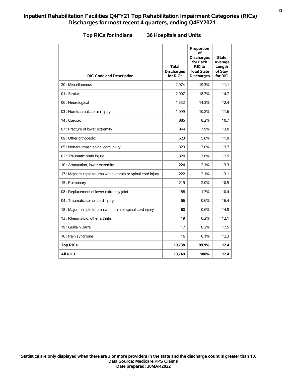| <b>RIC Code and Description</b>                                | <b>Total</b><br><b>Discharges</b><br>for RIC* | Proportion<br>οf<br><b>Discharges</b><br>for Each<br>RIC to<br><b>Total State</b><br><b>Discharges</b> | <b>State</b><br>Average<br>Length<br>of Stay<br>for RIC |
|----------------------------------------------------------------|-----------------------------------------------|--------------------------------------------------------------------------------------------------------|---------------------------------------------------------|
| 20 : Miscellaneous                                             | 2,074                                         | 19.3%                                                                                                  | 11.1                                                    |
| 01 : Stroke                                                    | 2,007                                         | 18.7%                                                                                                  | 14.7                                                    |
| 06 : Neurological                                              | 1,532                                         | 14.3%                                                                                                  | 12.4                                                    |
| 03 : Non-traumatic brain injury                                | 1,099                                         | 10.2%                                                                                                  | 11.6                                                    |
| 14 : Cardiac                                                   | 885                                           | 8.2%                                                                                                   | 10.7                                                    |
| 07 : Fracture of lower extremity                               | 844                                           | 7.9%                                                                                                   | 13.0                                                    |
| 09 : Other orthopedic                                          | 623                                           | 5.8%                                                                                                   | 11.9                                                    |
| 05 : Non-traumatic spinal cord injury                          | 323                                           | 3.0%                                                                                                   | 13.7                                                    |
| 02 : Traumatic brain injury                                    | 320                                           | 3.0%                                                                                                   | 12.9                                                    |
| 10 : Amputation, lower extremity                               | 224                                           | 2.1%                                                                                                   | 13.3                                                    |
| 17 : Major multiple trauma without brain or spinal cord injury | 222                                           | 2.1%                                                                                                   | 13.1                                                    |
| 15: Pulmonary                                                  | 219                                           | 2.0%                                                                                                   | 10.5                                                    |
| 08 : Replacement of lower extremity joint                      | 188                                           | 1.7%                                                                                                   | 10.4                                                    |
| 04 : Traumatic spinal cord injury                              | 66                                            | 0.6%                                                                                                   | 16.4                                                    |
| 18 : Major multiple trauma with brain or spinal cord injury    | 60                                            | 0.6%                                                                                                   | 14.9                                                    |
| 13 : Rheumatoid, other arthritis                               | 19                                            | 0.2%                                                                                                   | 12.1                                                    |
| 19 : Guillain Barre                                            | 17                                            | 0.2%                                                                                                   | 17.5                                                    |
| 16 : Pain syndrome                                             | 16                                            | 0.1%                                                                                                   | 12.3                                                    |
| <b>Top RICs</b>                                                | 10,738                                        | 99.9%                                                                                                  | 12.4                                                    |
| <b>All RICS</b>                                                | 10,749                                        | 100%                                                                                                   | 12.4                                                    |

**Top RICs for Indiana 36 Hospitals and Units**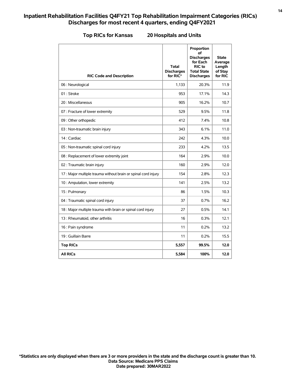| <b>RIC Code and Description</b>                                | <b>Total</b><br><b>Discharges</b><br>for RIC* | Proportion<br>οf<br><b>Discharges</b><br>for Each<br>RIC to<br><b>Total State</b><br><b>Discharges</b> | <b>State</b><br>Average<br>Length<br>of Stay<br>for RIC |
|----------------------------------------------------------------|-----------------------------------------------|--------------------------------------------------------------------------------------------------------|---------------------------------------------------------|
| 06 : Neurological                                              | 1.133                                         | 20.3%                                                                                                  | 11.9                                                    |
| 01: Stroke                                                     | 953                                           | 17.1%                                                                                                  | 14.3                                                    |
| 20 : Miscellaneous                                             | 905                                           | 16.2%                                                                                                  | 10.7                                                    |
| 07 : Fracture of lower extremity                               | 529                                           | 9.5%                                                                                                   | 11.8                                                    |
| 09 : Other orthopedic                                          | 412                                           | 7.4%                                                                                                   | 10.8                                                    |
| 03 : Non-traumatic brain injury                                | 343                                           | 6.1%                                                                                                   | 11.0                                                    |
| 14 : Cardiac                                                   | 242                                           | 4.3%                                                                                                   | 10.0                                                    |
| 05 : Non-traumatic spinal cord injury                          | 233                                           | 4.2%                                                                                                   | 13.5                                                    |
| 08 : Replacement of lower extremity joint                      | 164                                           | 2.9%                                                                                                   | 10.0                                                    |
| 02 : Traumatic brain injury                                    | 160                                           | 2.9%                                                                                                   | 12.0                                                    |
| 17 : Major multiple trauma without brain or spinal cord injury | 154                                           | 2.8%                                                                                                   | 12.3                                                    |
| 10 : Amputation, lower extremity                               | 141                                           | 2.5%                                                                                                   | 13.2                                                    |
| 15: Pulmonary                                                  | 86                                            | 1.5%                                                                                                   | 10.3                                                    |
| 04 : Traumatic spinal cord injury                              | 37                                            | 0.7%                                                                                                   | 16.2                                                    |
| 18 : Major multiple trauma with brain or spinal cord injury    | 27                                            | 0.5%                                                                                                   | 14.1                                                    |
| 13 : Rheumatoid, other arthritis                               | 16                                            | 0.3%                                                                                                   | 12.1                                                    |
| 16 : Pain syndrome                                             | 11                                            | 0.2%                                                                                                   | 13.2                                                    |
| 19 : Guillain Barre                                            | 11                                            | 0.2%                                                                                                   | 15.5                                                    |
| <b>Top RICs</b>                                                | 5,557                                         | 99.5%                                                                                                  | 12.0                                                    |
| <b>All RICs</b>                                                | 5,584                                         | 100%                                                                                                   | 12.0                                                    |

**Top RICs for Kansas 20 Hospitals and Units**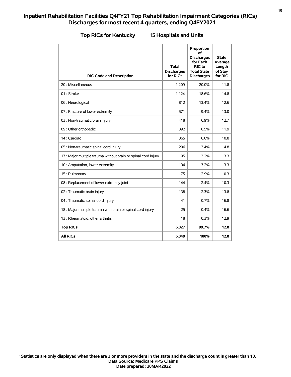|  | <b>Top RICs for Kentucky</b> |  |  |  |
|--|------------------------------|--|--|--|
|--|------------------------------|--|--|--|

#### **Top RICs for Kentucky 15 Hospitals and Units**

| <b>RIC Code and Description</b>                                | Total<br><b>Discharges</b><br>for RIC* | Proportion<br>οf<br><b>Discharges</b><br>for Each<br>RIC to<br><b>Total State</b><br><b>Discharges</b> | <b>State</b><br>Average<br>Length<br>of Stay<br>for RIC |
|----------------------------------------------------------------|----------------------------------------|--------------------------------------------------------------------------------------------------------|---------------------------------------------------------|
| 20 : Miscellaneous                                             | 1,209                                  | 20.0%                                                                                                  | 11.8                                                    |
| 01 : Stroke                                                    | 1,124                                  | 18.6%                                                                                                  | 14.8                                                    |
| 06 : Neurological                                              | 812                                    | 13.4%                                                                                                  | 12.6                                                    |
| 07 : Fracture of lower extremity                               | 571                                    | 9.4%                                                                                                   | 13.0                                                    |
| 03 : Non-traumatic brain injury                                | 418                                    | 6.9%                                                                                                   | 12.7                                                    |
| 09 : Other orthopedic                                          | 392                                    | 6.5%                                                                                                   | 11.9                                                    |
| 14 : Cardiac                                                   | 365                                    | 6.0%                                                                                                   | 10.8                                                    |
| 05 : Non-traumatic spinal cord injury                          | 206                                    | 3.4%                                                                                                   | 14.8                                                    |
| 17 : Major multiple trauma without brain or spinal cord injury | 195                                    | 3.2%                                                                                                   | 13.3                                                    |
| 10 : Amputation, lower extremity                               | 194                                    | 3.2%                                                                                                   | 13.3                                                    |
| 15: Pulmonary                                                  | 175                                    | 2.9%                                                                                                   | 10.3                                                    |
| 08 : Replacement of lower extremity joint                      | 144                                    | 2.4%                                                                                                   | 10.3                                                    |
| 02 : Traumatic brain injury                                    | 138                                    | 2.3%                                                                                                   | 13.8                                                    |
| 04 : Traumatic spinal cord injury                              | 41                                     | 0.7%                                                                                                   | 16.8                                                    |
| 18 : Major multiple trauma with brain or spinal cord injury    | 25                                     | 0.4%                                                                                                   | 16.6                                                    |
| 13 : Rheumatoid, other arthritis                               | 18                                     | 0.3%                                                                                                   | 12.9                                                    |
| <b>Top RICs</b>                                                | 6,027                                  | 99.7%                                                                                                  | 12.8                                                    |
| <b>All RICs</b>                                                | 6.048                                  | 100%                                                                                                   | 12.8                                                    |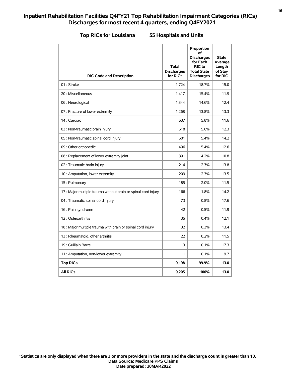|  |  |  | <b>Top RICs for Louisiana</b> |  |
|--|--|--|-------------------------------|--|
|--|--|--|-------------------------------|--|

#### **Top RICs for Louisiana 55 Hospitals and Units**

| <b>RIC Code and Description</b>                                | <b>Total</b><br><b>Discharges</b><br>for RIC* | Proportion<br>οf<br><b>Discharges</b><br>for Each<br><b>RIC</b> to<br><b>Total State</b><br><b>Discharges</b> | <b>State</b><br>Average<br>Length<br>of Stay<br>for RIC |
|----------------------------------------------------------------|-----------------------------------------------|---------------------------------------------------------------------------------------------------------------|---------------------------------------------------------|
| 01: Stroke                                                     | 1,724                                         | 18.7%                                                                                                         | 15.0                                                    |
| 20 : Miscellaneous                                             | 1,417                                         | 15.4%                                                                                                         | 11.9                                                    |
| 06 : Neurological                                              | 1,344                                         | 14.6%                                                                                                         | 12.4                                                    |
| 07 : Fracture of lower extremity                               | 1,268                                         | 13.8%                                                                                                         | 13.3                                                    |
| 14 : Cardiac                                                   | 537                                           | 5.8%                                                                                                          | 11.6                                                    |
| 03 : Non-traumatic brain injury                                | 518                                           | 5.6%                                                                                                          | 12.3                                                    |
| 05 : Non-traumatic spinal cord injury                          | 501                                           | 5.4%                                                                                                          | 14.2                                                    |
| 09 : Other orthopedic                                          | 496                                           | 5.4%                                                                                                          | 12.6                                                    |
| 08 : Replacement of lower extremity joint                      | 391                                           | 4.2%                                                                                                          | 10.8                                                    |
| 02 : Traumatic brain injury                                    | 214                                           | 2.3%                                                                                                          | 13.8                                                    |
| 10 : Amputation, lower extremity                               | 209                                           | 2.3%                                                                                                          | 13.5                                                    |
| 15: Pulmonary                                                  | 185                                           | 2.0%                                                                                                          | 11.5                                                    |
| 17 : Major multiple trauma without brain or spinal cord injury | 166                                           | 1.8%                                                                                                          | 14.2                                                    |
| 04 : Traumatic spinal cord injury                              | 73                                            | 0.8%                                                                                                          | 17.6                                                    |
| 16 : Pain syndrome                                             | 42                                            | 0.5%                                                                                                          | 11.9                                                    |
| 12: Osteoarthritis                                             | 35                                            | 0.4%                                                                                                          | 12.1                                                    |
| 18 : Major multiple trauma with brain or spinal cord injury    | 32                                            | 0.3%                                                                                                          | 13.4                                                    |
| 13 : Rheumatoid, other arthritis                               | 22                                            | 0.2%                                                                                                          | 11.5                                                    |
| 19 : Guillain Barre                                            | 13                                            | 0.1%                                                                                                          | 17.3                                                    |
| 11 : Amputation, non-lower extremity                           | 11                                            | 0.1%                                                                                                          | 9.7                                                     |
| <b>Top RICs</b>                                                | 9,198                                         | 99.9%                                                                                                         | 13.0                                                    |
| <b>All RICs</b>                                                | 9,205                                         | 100%                                                                                                          | 13.0                                                    |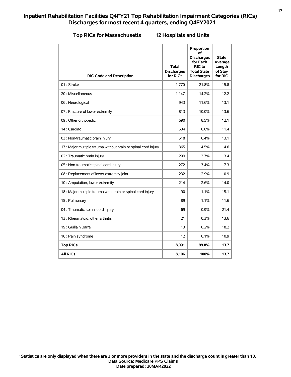#### **Top RICs for Massachusetts 12 Hospitals and Units**

| <b>RIC Code and Description</b>                                | <b>Total</b><br><b>Discharges</b><br>for RIC* | Proportion<br>οf<br><b>Discharges</b><br>for Each<br>RIC to<br><b>Total State</b><br><b>Discharges</b> | <b>State</b><br>Average<br>Length<br>of Stay<br>for RIC |
|----------------------------------------------------------------|-----------------------------------------------|--------------------------------------------------------------------------------------------------------|---------------------------------------------------------|
| 01: Stroke                                                     | 1,770                                         | 21.8%                                                                                                  | 15.8                                                    |
| 20 : Miscellaneous                                             | 1,147                                         | 14.2%                                                                                                  | 12.2                                                    |
| 06 : Neurological                                              | 943                                           | 11.6%                                                                                                  | 13.1                                                    |
| 07 : Fracture of lower extremity                               | 813                                           | 10.0%                                                                                                  | 13.6                                                    |
| 09 : Other orthopedic                                          | 690                                           | 8.5%                                                                                                   | 12.1                                                    |
| 14 : Cardiac                                                   | 534                                           | 6.6%                                                                                                   | 11.4                                                    |
| 03 : Non-traumatic brain injury                                | 518                                           | 6.4%                                                                                                   | 13.1                                                    |
| 17 : Major multiple trauma without brain or spinal cord injury | 365                                           | 4.5%                                                                                                   | 14.6                                                    |
| 02 : Traumatic brain injury                                    | 299                                           | 3.7%                                                                                                   | 13.4                                                    |
| 05 : Non-traumatic spinal cord injury                          | 272                                           | 3.4%                                                                                                   | 17.3                                                    |
| 08 : Replacement of lower extremity joint                      | 232                                           | 2.9%                                                                                                   | 10.9                                                    |
| 10 : Amputation, lower extremity                               | 214                                           | 2.6%                                                                                                   | 14.0                                                    |
| 18 : Major multiple trauma with brain or spinal cord injury    | 90                                            | 1.1%                                                                                                   | 15.1                                                    |
| 15: Pulmonary                                                  | 89                                            | 1.1%                                                                                                   | 11.6                                                    |
| 04 : Traumatic spinal cord injury                              | 69                                            | 0.9%                                                                                                   | 21.4                                                    |
| 13 : Rheumatoid, other arthritis                               | 21                                            | 0.3%                                                                                                   | 13.6                                                    |
| 19 : Guillain Barre                                            | 13                                            | 0.2%                                                                                                   | 18.2                                                    |
| 16 : Pain syndrome                                             | 12                                            | 0.1%                                                                                                   | 10.9                                                    |
| <b>Top RICs</b>                                                | 8,091                                         | 99.8%                                                                                                  | 13.7                                                    |
| <b>All RICs</b>                                                | 8,106                                         | 100%                                                                                                   | 13.7                                                    |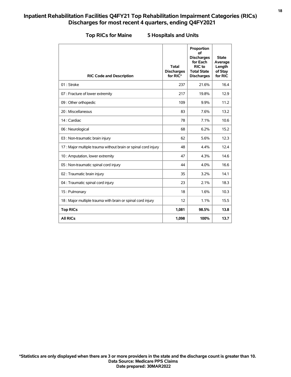| <b>RIC Code and Description</b>                                | <b>Total</b><br><b>Discharges</b><br>for RIC* | Proportion<br>of<br><b>Discharges</b><br>for Each<br>RIC to<br><b>Total State</b><br><b>Discharges</b> | <b>State</b><br>Average<br>Length<br>of Stay<br>for RIC |
|----------------------------------------------------------------|-----------------------------------------------|--------------------------------------------------------------------------------------------------------|---------------------------------------------------------|
| 01: Stroke                                                     | 237                                           | 21.6%                                                                                                  | 16.4                                                    |
| 07 : Fracture of lower extremity                               | 217                                           | 19.8%                                                                                                  | 12.9                                                    |
| 09 : Other orthopedic                                          | 109                                           | 9.9%                                                                                                   | 11.2                                                    |
| 20 : Miscellaneous                                             | 83                                            | 7.6%                                                                                                   | 13.2                                                    |
| 14 : Cardiac                                                   | 78                                            | 7.1%                                                                                                   | 10.6                                                    |
| 06 : Neurological                                              | 68                                            | 6.2%                                                                                                   | 15.2                                                    |
| 03 : Non-traumatic brain injury                                | 62                                            | 5.6%                                                                                                   | 12.3                                                    |
| 17 : Major multiple trauma without brain or spinal cord injury | 48                                            | 4.4%                                                                                                   | 12.4                                                    |
| 10 : Amputation, lower extremity                               | 47                                            | 4.3%                                                                                                   | 14.6                                                    |
| 05 : Non-traumatic spinal cord injury                          | 44                                            | 4.0%                                                                                                   | 16.6                                                    |
| 02 : Traumatic brain injury                                    | 35                                            | 3.2%                                                                                                   | 14.1                                                    |
| 04 : Traumatic spinal cord injury                              | 23                                            | 2.1%                                                                                                   | 18.3                                                    |
| 15: Pulmonary                                                  | 18                                            | 1.6%                                                                                                   | 10.3                                                    |
| 18 : Major multiple trauma with brain or spinal cord injury    | 12                                            | 1.1%                                                                                                   | 15.5                                                    |
| <b>Top RICs</b>                                                | 1,081                                         | 98.5%                                                                                                  | 13.8                                                    |
| <b>All RICs</b>                                                | 1,098                                         | 100%                                                                                                   | 13.7                                                    |

#### **Top RICs for Maine 5 Hospitals and Units**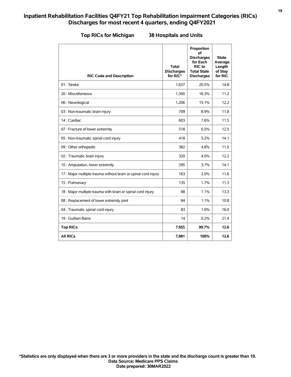| <b>RIC Code and Description</b>                                | Total<br><b>Discharges</b><br>for RIC* | Proportion<br>οf<br><b>Discharges</b><br>for Each<br>RIC to<br><b>Total State</b><br><b>Discharges</b> | <b>State</b><br>Average<br>Length<br>of Stay<br>for RIC |
|----------------------------------------------------------------|----------------------------------------|--------------------------------------------------------------------------------------------------------|---------------------------------------------------------|
| 01: Stroke                                                     | 1,637                                  | 20.5%                                                                                                  | 14.8                                                    |
| 20 : Miscellaneous                                             | 1,300                                  | 16.3%                                                                                                  | 11.2                                                    |
| 06 : Neurological                                              | 1,206                                  | 15.1%                                                                                                  | 12.2                                                    |
| 03 : Non-traumatic brain injury                                | 709                                    | 8.9%                                                                                                   | 11.8                                                    |
| 14 : Cardiac                                                   | 603                                    | 7.6%                                                                                                   | 11.5                                                    |
| 07 : Fracture of lower extremity                               | 518                                    | 6.5%                                                                                                   | 12.5                                                    |
| 05 : Non-traumatic spinal cord injury                          | 418                                    | 5.2%                                                                                                   | 14.1                                                    |
| 09 : Other orthopedic                                          | 382                                    | 4.8%                                                                                                   | 11.0                                                    |
| 02 : Traumatic brain injury                                    | 320                                    | 4.0%                                                                                                   | 12.2                                                    |
| 10 : Amputation, lower extremity                               | 295                                    | 3.7%                                                                                                   | 14.1                                                    |
| 17 : Major multiple trauma without brain or spinal cord injury | 163                                    | 2.0%                                                                                                   | 11.6                                                    |
| 15: Pulmonary                                                  | 135                                    | 1.7%                                                                                                   | 11.3                                                    |
| 18 : Major multiple trauma with brain or spinal cord injury    | 88                                     | 1.1%                                                                                                   | 13.3                                                    |
| 08 : Replacement of lower extremity joint                      | 84                                     | 1.1%                                                                                                   | 10.8                                                    |
| 04 : Traumatic spinal cord injury                              | 83                                     | 1.0%                                                                                                   | 16.0                                                    |
| 19 : Guillain Barre                                            | 14                                     | 0.2%                                                                                                   | 21.4                                                    |
| <b>Top RICs</b>                                                | 7,955                                  | 99.7%                                                                                                  | 12.6                                                    |
| <b>All RICs</b>                                                | 7,981                                  | 100%                                                                                                   | 12.6                                                    |

### **Top RICs for Michigan 38 Hospitals and Units**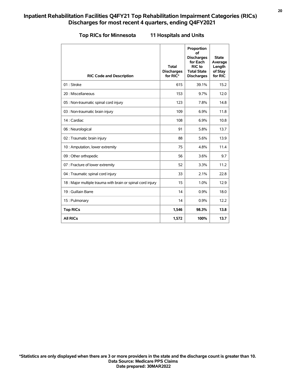|  |  |  |  | <b>Top RICs for Minnesota</b> |
|--|--|--|--|-------------------------------|
|--|--|--|--|-------------------------------|

#### **Reference 11 Hospitals and Units**

| <b>RIC Code and Description</b>                             | <b>Total</b><br><b>Discharges</b><br>for RIC* | Proportion<br>οf<br><b>Discharges</b><br>for Each<br>RIC to<br><b>Total State</b><br><b>Discharges</b> | <b>State</b><br>Average<br>Length<br>of Stay<br>for RIC |
|-------------------------------------------------------------|-----------------------------------------------|--------------------------------------------------------------------------------------------------------|---------------------------------------------------------|
| 01: Stroke                                                  | 615                                           | 39.1%                                                                                                  | 15.2                                                    |
| 20 : Miscellaneous                                          | 153                                           | 9.7%                                                                                                   | 12.0                                                    |
| 05 : Non-traumatic spinal cord injury                       | 123                                           | 7.8%                                                                                                   | 14.8                                                    |
| 03 : Non-traumatic brain injury                             | 109                                           | 6.9%                                                                                                   | 11.8                                                    |
| 14 : Cardiac                                                | 108                                           | 6.9%                                                                                                   | 10.8                                                    |
| 06 : Neurological                                           | 91                                            | 5.8%                                                                                                   | 13.7                                                    |
| 02 : Traumatic brain injury                                 | 88                                            | 5.6%                                                                                                   | 13.9                                                    |
| 10 : Amputation, lower extremity                            | 75                                            | 4.8%                                                                                                   | 11.4                                                    |
| 09 : Other orthopedic                                       | 56                                            | 3.6%                                                                                                   | 9.7                                                     |
| 07 : Fracture of lower extremity                            | 52                                            | 3.3%                                                                                                   | 11.2                                                    |
| 04 : Traumatic spinal cord injury                           | 33                                            | 2.1%                                                                                                   | 22.8                                                    |
| 18 : Major multiple trauma with brain or spinal cord injury | 15                                            | 1.0%                                                                                                   | 12.9                                                    |
| 19 : Guillain Barre                                         | 14                                            | 0.9%                                                                                                   | 18.0                                                    |
| 15: Pulmonary                                               | 14                                            | 0.9%                                                                                                   | 12.2                                                    |
| <b>Top RICs</b>                                             | 1,546                                         | 98.3%                                                                                                  | 13.8                                                    |
| <b>All RICs</b>                                             | 1,572                                         | 100%                                                                                                   | 13.7                                                    |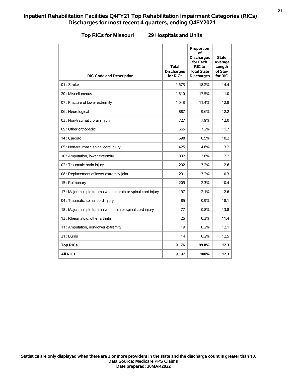| <b>RIC Code and Description</b>                                | <b>Total</b><br><b>Discharges</b><br>for RIC* | Proportion<br>οf<br><b>Discharges</b><br>for Each<br>RIC to<br><b>Total State</b><br><b>Discharges</b> | <b>State</b><br>Average<br>Length<br>of Stay<br>for RIC |
|----------------------------------------------------------------|-----------------------------------------------|--------------------------------------------------------------------------------------------------------|---------------------------------------------------------|
| 01: Stroke                                                     | 1,675                                         | 18.2%                                                                                                  | 14.4                                                    |
| 20 : Miscellaneous                                             | 1,610                                         | 17.5%                                                                                                  | 11.0                                                    |
| 07 : Fracture of lower extremity                               | 1,048                                         | 11.4%                                                                                                  | 12.8                                                    |
| 06 : Neurological                                              | 887                                           | 9.6%                                                                                                   | 12.2                                                    |
| 03 : Non-traumatic brain injury                                | 727                                           | 7.9%                                                                                                   | 12.0                                                    |
| 09 : Other orthopedic                                          | 665                                           | 7.2%                                                                                                   | 11.7                                                    |
| 14 : Cardiac                                                   | 598                                           | 6.5%                                                                                                   | 10.2                                                    |
| 05 : Non-traumatic spinal cord injury                          | 425                                           | 4.6%                                                                                                   | 13.2                                                    |
| 10 : Amputation, lower extremity                               | 332                                           | 3.6%                                                                                                   | 12.2                                                    |
| 02 : Traumatic brain injury                                    | 292                                           | 3.2%                                                                                                   | 12.6                                                    |
| 08 : Replacement of lower extremity joint                      | 291                                           | 3.2%                                                                                                   | 10.3                                                    |
| 15: Pulmonary                                                  | 209                                           | 2.3%                                                                                                   | 10.4                                                    |
| 17 : Major multiple trauma without brain or spinal cord injury | 197                                           | 2.1%                                                                                                   | 12.6                                                    |
| 04 : Traumatic spinal cord injury                              | 85                                            | 0.9%                                                                                                   | 18.1                                                    |
| 18 : Major multiple trauma with brain or spinal cord injury    | 77                                            | 0.8%                                                                                                   | 13.8                                                    |
| 13: Rheumatoid, other arthritis                                | 25                                            | 0.3%                                                                                                   | 11.4                                                    |
| 11 : Amputation, non-lower extremity                           | 19                                            | 0.2%                                                                                                   | 12.1                                                    |
| 21 : Burns                                                     | 14                                            | 0.2%                                                                                                   | 12.5                                                    |
| <b>Top RICs</b>                                                | 9,176                                         | 99.8%                                                                                                  | 12.3                                                    |
| <b>All RICS</b>                                                | 9,197                                         | 100%                                                                                                   | 12.3                                                    |

#### **Top RICs for Missouri 29 Hospitals and Units**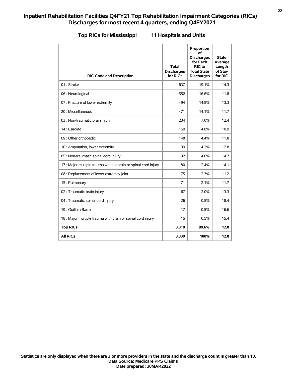| <b>Top RICs for Mississipp</b> |  |  |  |  |  |  |  |  |
|--------------------------------|--|--|--|--|--|--|--|--|
|--------------------------------|--|--|--|--|--|--|--|--|

### **Top RICs for Mississippi 11 Hospitals and Units**

| <b>RIC Code and Description</b>                                | <b>Total</b><br><b>Discharges</b><br>for RIC* | Proportion<br>οf<br><b>Discharges</b><br>for Each<br>RIC to<br><b>Total State</b><br><b>Discharges</b> | <b>State</b><br>Average<br>Length<br>of Stay<br>for RIC |
|----------------------------------------------------------------|-----------------------------------------------|--------------------------------------------------------------------------------------------------------|---------------------------------------------------------|
| 01: Stroke                                                     | 637                                           | 19.1%                                                                                                  | 14.3                                                    |
| 06 : Neurological                                              | 552                                           | 16.6%                                                                                                  | 11.8                                                    |
| 07 : Fracture of lower extremity                               | 494                                           | 14.8%                                                                                                  | 13.3                                                    |
| 20 : Miscellaneous                                             | 471                                           | 14.1%                                                                                                  | 11.7                                                    |
| 03 : Non-traumatic brain injury                                | 234                                           | 7.0%                                                                                                   | 12.4                                                    |
| 14 : Cardiac                                                   | 160                                           | 4.8%                                                                                                   | 10.9                                                    |
| 09 : Other orthopedic                                          | 148                                           | 4.4%                                                                                                   | 11.8                                                    |
| 10 : Amputation, lower extremity                               | 139                                           | 4.2%                                                                                                   | 12.8                                                    |
| 05 : Non-traumatic spinal cord injury                          | 132                                           | 4.0%                                                                                                   | 14.7                                                    |
| 17 : Major multiple trauma without brain or spinal cord injury | 80                                            | 2.4%                                                                                                   | 14.1                                                    |
| 08 : Replacement of lower extremity joint                      | 75                                            | 2.3%                                                                                                   | 11.2                                                    |
| 15: Pulmonary                                                  | 71                                            | 2.1%                                                                                                   | 11.7                                                    |
| 02 : Traumatic brain injury                                    | 67                                            | 2.0%                                                                                                   | 13.3                                                    |
| 04 : Traumatic spinal cord injury                              | 26                                            | 0.8%                                                                                                   | 18.4                                                    |
| 19 : Guillain Barre                                            | 17                                            | 0.5%                                                                                                   | 16.6                                                    |
| 18 : Major multiple trauma with brain or spinal cord injury    | 15                                            | 0.5%                                                                                                   | 15.4                                                    |
| <b>Top RICs</b>                                                | 3,318                                         | 99.6%                                                                                                  | 12.8                                                    |
| <b>All RICs</b>                                                | 3,330                                         | 100%                                                                                                   | 12.8                                                    |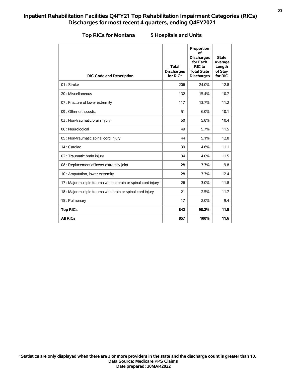| <b>RIC Code and Description</b>                                | <b>Total</b><br><b>Discharges</b><br>for RIC* | Proportion<br>of<br><b>Discharges</b><br>for Each<br>RIC to<br><b>Total State</b><br><b>Discharges</b> | <b>State</b><br>Average<br>Length<br>of Stay<br>for RIC |
|----------------------------------------------------------------|-----------------------------------------------|--------------------------------------------------------------------------------------------------------|---------------------------------------------------------|
| 01: Stroke                                                     | 206                                           | 24.0%                                                                                                  | 12.8                                                    |
| 20 : Miscellaneous                                             | 132                                           | 15.4%                                                                                                  | 10.7                                                    |
| 07 : Fracture of lower extremity                               | 117                                           | 13.7%                                                                                                  | 11.2                                                    |
| 09 : Other orthopedic                                          | 51                                            | 6.0%                                                                                                   | 10.1                                                    |
| 03 : Non-traumatic brain injury                                | 50                                            | 5.8%                                                                                                   | 10.4                                                    |
| 06 : Neurological                                              | 49                                            | 5.7%                                                                                                   | 11.5                                                    |
| 05 : Non-traumatic spinal cord injury                          | 44                                            | 5.1%                                                                                                   | 12.8                                                    |
| 14 : Cardiac                                                   | 39                                            | 4.6%                                                                                                   | 11.1                                                    |
| 02 : Traumatic brain injury                                    | 34                                            | 4.0%                                                                                                   | 11.5                                                    |
| 08 : Replacement of lower extremity joint                      | 28                                            | 3.3%                                                                                                   | 9.8                                                     |
| 10 : Amputation, lower extremity                               | 28                                            | 3.3%                                                                                                   | 12.4                                                    |
| 17 : Major multiple trauma without brain or spinal cord injury | 26                                            | 3.0%                                                                                                   | 11.8                                                    |
| 18 : Major multiple trauma with brain or spinal cord injury    | 21                                            | 2.5%                                                                                                   | 11.7                                                    |
| 15: Pulmonary                                                  | 17                                            | 2.0%                                                                                                   | 9.4                                                     |
| <b>Top RICs</b>                                                | 842                                           | 98.2%                                                                                                  | 11.5                                                    |
| <b>All RICs</b>                                                | 857                                           | 100%                                                                                                   | 11.6                                                    |

### **Top RICs for Montana 5 Hospitals and Units**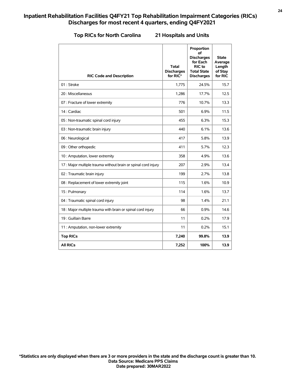#### **Top RICs for North Carolina 21 Hospitals and Units**

| <b>RIC Code and Description</b>                                | Total<br><b>Discharges</b><br>for RIC* | Proportion<br>οf<br><b>Discharges</b><br>for Each<br>RIC to<br><b>Total State</b><br><b>Discharges</b> | State<br>Average<br>Length<br>of Stay<br>for RIC |
|----------------------------------------------------------------|----------------------------------------|--------------------------------------------------------------------------------------------------------|--------------------------------------------------|
| 01: Stroke                                                     | 1,775                                  | 24.5%                                                                                                  | 15.7                                             |
| 20 : Miscellaneous                                             | 1,286                                  | 17.7%                                                                                                  | 12.5                                             |
| 07 : Fracture of lower extremity                               | 776                                    | 10.7%                                                                                                  | 13.3                                             |
| 14 : Cardiac                                                   | 501                                    | 6.9%                                                                                                   | 11.5                                             |
| 05 : Non-traumatic spinal cord injury                          | 455                                    | 6.3%                                                                                                   | 15.3                                             |
| 03 : Non-traumatic brain injury                                | 440                                    | 6.1%                                                                                                   | 13.6                                             |
| 06 : Neurological                                              | 417                                    | 5.8%                                                                                                   | 13.9                                             |
| 09 : Other orthopedic                                          | 411                                    | 5.7%                                                                                                   | 12.3                                             |
| 10 : Amputation, lower extremity                               | 358                                    | 4.9%                                                                                                   | 13.6                                             |
| 17 : Major multiple trauma without brain or spinal cord injury | 207                                    | 2.9%                                                                                                   | 13.4                                             |
| 02 : Traumatic brain injury                                    | 199                                    | 2.7%                                                                                                   | 13.8                                             |
| 08 : Replacement of lower extremity joint                      | 115                                    | 1.6%                                                                                                   | 10.9                                             |
| 15: Pulmonary                                                  | 114                                    | 1.6%                                                                                                   | 13.7                                             |
| 04 : Traumatic spinal cord injury                              | 98                                     | 1.4%                                                                                                   | 21.1                                             |
| 18 : Major multiple trauma with brain or spinal cord injury    | 66                                     | 0.9%                                                                                                   | 14.6                                             |
| 19 : Guillain Barre                                            | 11                                     | 0.2%                                                                                                   | 17.9                                             |
| 11 : Amputation, non-lower extremity                           | 11                                     | 0.2%                                                                                                   | 15.1                                             |
| <b>Top RICs</b>                                                | 7,240                                  | 99.8%                                                                                                  | 13.9                                             |
| <b>All RICs</b>                                                | 7,252                                  | 100%                                                                                                   | 13.9                                             |

**Date prepared: 30MAR2022 Data Source: Medicare PPS Claims \*Statistics are only displayed when there are 3 or more providers in the state and the discharge count is greater than 10.**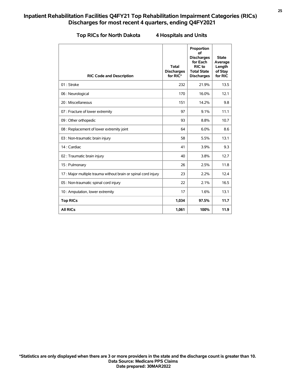#### **The Rica A** Hospitals and Units

| <b>RIC Code and Description</b>                                | <b>Total</b><br><b>Discharges</b><br>for RIC* | Proportion<br>of<br><b>Discharges</b><br>for Each<br>RIC to<br><b>Total State</b><br><b>Discharges</b> | <b>State</b><br>Average<br>Length<br>of Stay<br>for RIC |
|----------------------------------------------------------------|-----------------------------------------------|--------------------------------------------------------------------------------------------------------|---------------------------------------------------------|
| 01 : Stroke                                                    | 232                                           | 21.9%                                                                                                  | 13.5                                                    |
| 06 : Neurological                                              | 170                                           | 16.0%                                                                                                  | 12.1                                                    |
| 20 : Miscellaneous                                             | 151                                           | 14.2%                                                                                                  | 9.8                                                     |
| 07 : Fracture of lower extremity                               | 97                                            | 9.1%                                                                                                   | 11.1                                                    |
| 09 : Other orthopedic                                          | 93                                            | 8.8%                                                                                                   | 10.7                                                    |
| 08 : Replacement of lower extremity joint                      | 64                                            | 6.0%                                                                                                   | 8.6                                                     |
| 03 : Non-traumatic brain injury                                | 58                                            | 5.5%                                                                                                   | 13.1                                                    |
| 14 : Cardiac                                                   | 41                                            | 3.9%                                                                                                   | 9.3                                                     |
| 02 : Traumatic brain injury                                    | 40                                            | 3.8%                                                                                                   | 12.7                                                    |
| 15: Pulmonary                                                  | 26                                            | 2.5%                                                                                                   | 11.8                                                    |
| 17 : Major multiple trauma without brain or spinal cord injury | 23                                            | 2.2%                                                                                                   | 12.4                                                    |
| 05 : Non-traumatic spinal cord injury                          | 22                                            | 2.1%                                                                                                   | 16.5                                                    |
| 10 : Amputation, lower extremity                               | 17                                            | 1.6%                                                                                                   | 13.1                                                    |
| <b>Top RICs</b>                                                | 1,034                                         | 97.5%                                                                                                  | 11.7                                                    |
| <b>All RICs</b>                                                | 1,061                                         | 100%                                                                                                   | 11.9                                                    |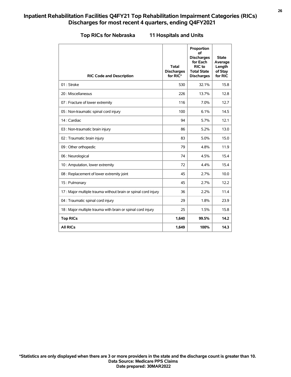|  | <b>Top RICs for Nebraska</b> |  |  |  |
|--|------------------------------|--|--|--|
|--|------------------------------|--|--|--|

#### **11 Hospitals and Units**

| <b>RIC Code and Description</b>                               | Total<br><b>Discharges</b><br>for RIC* | Proportion<br>of<br><b>Discharges</b><br>for Each<br>RIC to<br><b>Total State</b><br><b>Discharges</b> | <b>State</b><br>Average<br>Length<br>of Stay<br>for RIC |
|---------------------------------------------------------------|----------------------------------------|--------------------------------------------------------------------------------------------------------|---------------------------------------------------------|
| 01: Stroke                                                    | 530                                    | 32.1%                                                                                                  | 15.8                                                    |
| 20 : Miscellaneous                                            | 226                                    | 13.7%                                                                                                  | 12.8                                                    |
| 07 : Fracture of lower extremity                              | 116                                    | 7.0%                                                                                                   | 12.7                                                    |
| 05 : Non-traumatic spinal cord injury                         | 100                                    | 6.1%                                                                                                   | 14.5                                                    |
| 14 : Cardiac                                                  | 94                                     | 5.7%                                                                                                   | 12.1                                                    |
| 03 : Non-traumatic brain injury                               | 86                                     | 5.2%                                                                                                   | 13.0                                                    |
| 02 : Traumatic brain injury                                   | 83                                     | 5.0%                                                                                                   | 15.0                                                    |
| 09 : Other orthopedic                                         | 79                                     | 4.8%                                                                                                   | 11.9                                                    |
| 06 : Neurological                                             | 74                                     | 4.5%                                                                                                   | 15.4                                                    |
| 10 : Amputation, lower extremity                              | 72                                     | 4.4%                                                                                                   | 15.4                                                    |
| 08 : Replacement of lower extremity joint                     | 45                                     | 2.7%                                                                                                   | 10.0                                                    |
| 15: Pulmonary                                                 | 45                                     | 2.7%                                                                                                   | 12.2                                                    |
| 17: Major multiple trauma without brain or spinal cord injury | 36                                     | 2.2%                                                                                                   | 11.4                                                    |
| 04 : Traumatic spinal cord injury                             | 29                                     | 1.8%                                                                                                   | 23.9                                                    |
| 18 : Major multiple trauma with brain or spinal cord injury   | 25                                     | 1.5%                                                                                                   | 15.8                                                    |
| <b>Top RICs</b>                                               | 1,640                                  | 99.5%                                                                                                  | 14.2                                                    |
| <b>All RICs</b>                                               | 1,649                                  | 100%                                                                                                   | 14.3                                                    |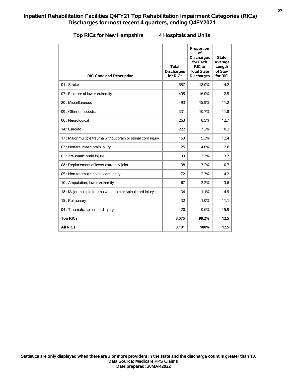#### **Top RICs for New Hampshire 4 Hospitals and Units**

| <b>RIC Code and Description</b>                                | <b>Total</b><br><b>Discharges</b><br>for RIC* | Proportion<br>οf<br><b>Discharges</b><br>for Each<br>RIC to<br><b>Total State</b><br><b>Discharges</b> | <b>State</b><br>Average<br>Length<br>of Stay<br>for RIC |
|----------------------------------------------------------------|-----------------------------------------------|--------------------------------------------------------------------------------------------------------|---------------------------------------------------------|
| 01: Stroke                                                     | 557                                           | 18.0%                                                                                                  | 14.2                                                    |
| 07 : Fracture of lower extremity                               | 495                                           | 16.0%                                                                                                  | 12.5                                                    |
| 20 : Miscellaneous                                             | 493                                           | 15.9%                                                                                                  | 11.2                                                    |
| 09 : Other orthopedic                                          | 331                                           | 10.7%                                                                                                  | 11.8                                                    |
| 06 : Neurological                                              | 263                                           | 8.5%                                                                                                   | 12.7                                                    |
| 14 : Cardiac                                                   | 222                                           | 7.2%                                                                                                   | 10.2                                                    |
| 17 : Major multiple trauma without brain or spinal cord injury | 163                                           | 5.3%                                                                                                   | 12.4                                                    |
| 03 : Non-traumatic brain injury                                | 125                                           | 4.0%                                                                                                   | 12.6                                                    |
| 02 : Traumatic brain injury                                    | 103                                           | 3.3%                                                                                                   | 13.7                                                    |
| 08 : Replacement of lower extremity joint                      | 98                                            | 3.2%                                                                                                   | 10.7                                                    |
| 05 : Non-traumatic spinal cord injury                          | 72                                            | 2.3%                                                                                                   | 14.2                                                    |
| 10 : Amputation, lower extremity                               | 67                                            | 2.2%                                                                                                   | 13.8                                                    |
| 18 : Major multiple trauma with brain or spinal cord injury    | 34                                            | 1.1%                                                                                                   | 14.9                                                    |
| 15: Pulmonary                                                  | 32                                            | 1.0%                                                                                                   | 11.1                                                    |
| 04 : Traumatic spinal cord injury                              | 20                                            | 0.6%                                                                                                   | 15.9                                                    |
| <b>Top RICs</b>                                                | 3,075                                         | 99.2%                                                                                                  | 12.5                                                    |
| <b>All RICs</b>                                                | 3,101                                         | 100%                                                                                                   | 12.5                                                    |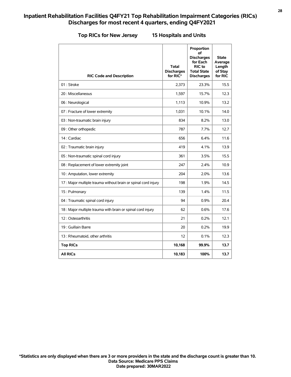#### **Top RICs for New Jersey 15 Hospitals and Units**

| <b>RIC Code and Description</b>                                | <b>Total</b><br><b>Discharges</b><br>for RIC* | Proportion<br>οf<br><b>Discharges</b><br>for Each<br>RIC to<br><b>Total State</b><br><b>Discharges</b> | <b>State</b><br>Average<br>Length<br>of Stay<br>for RIC |
|----------------------------------------------------------------|-----------------------------------------------|--------------------------------------------------------------------------------------------------------|---------------------------------------------------------|
| 01: Stroke                                                     | 2,373                                         | 23.3%                                                                                                  | 15.5                                                    |
| 20 : Miscellaneous                                             | 1,597                                         | 15.7%                                                                                                  | 12.3                                                    |
| 06 : Neurological                                              | 1,113                                         | 10.9%                                                                                                  | 13.2                                                    |
| 07 : Fracture of lower extremity                               | 1,031                                         | 10.1%                                                                                                  | 14.0                                                    |
| 03 : Non-traumatic brain injury                                | 834                                           | 8.2%                                                                                                   | 13.0                                                    |
| 09 : Other orthopedic                                          | 787                                           | 7.7%                                                                                                   | 12.7                                                    |
| 14 : Cardiac                                                   | 656                                           | 6.4%                                                                                                   | 11.6                                                    |
| 02 : Traumatic brain injury                                    | 419                                           | 4.1%                                                                                                   | 13.9                                                    |
| 05 : Non-traumatic spinal cord injury                          | 361                                           | 3.5%                                                                                                   | 15.5                                                    |
| 08 : Replacement of lower extremity joint                      | 247                                           | 2.4%                                                                                                   | 10.9                                                    |
| 10 : Amputation, lower extremity                               | 204                                           | 2.0%                                                                                                   | 13.6                                                    |
| 17 : Major multiple trauma without brain or spinal cord injury | 198                                           | 1.9%                                                                                                   | 14.5                                                    |
| 15: Pulmonary                                                  | 139                                           | 1.4%                                                                                                   | 11.5                                                    |
| 04 : Traumatic spinal cord injury                              | 94                                            | 0.9%                                                                                                   | 20.4                                                    |
| 18 : Major multiple trauma with brain or spinal cord injury    | 62                                            | 0.6%                                                                                                   | 17.6                                                    |
| 12: Osteoarthritis                                             | 21                                            | 0.2%                                                                                                   | 12.1                                                    |
| 19 : Guillain Barre                                            | 20                                            | 0.2%                                                                                                   | 19.9                                                    |
| 13 : Rheumatoid, other arthritis                               | 12                                            | 0.1%                                                                                                   | 12.3                                                    |
| <b>Top RICs</b>                                                | 10,168                                        | 99.9%                                                                                                  | 13.7                                                    |
| <b>All RICs</b>                                                | 10,183                                        | 100%                                                                                                   | 13.7                                                    |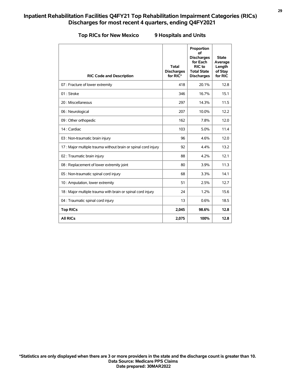| <b>Top RICs for New Mexico</b> |
|--------------------------------|
|--------------------------------|

#### **Top RICs for New Mexico 9 Hospitals and Units**

| <b>RIC Code and Description</b>                                | <b>Total</b><br><b>Discharges</b><br>for RIC* | Proportion<br>οf<br><b>Discharges</b><br>for Each<br>RIC to<br><b>Total State</b><br><b>Discharges</b> | <b>State</b><br>Average<br>Length<br>of Stay<br>for RIC |
|----------------------------------------------------------------|-----------------------------------------------|--------------------------------------------------------------------------------------------------------|---------------------------------------------------------|
| 07 : Fracture of lower extremity                               | 418                                           | 20.1%                                                                                                  | 12.8                                                    |
| 01: Stroke                                                     | 346                                           | 16.7%                                                                                                  | 15.1                                                    |
| 20 : Miscellaneous                                             | 297                                           | 14.3%                                                                                                  | 11.5                                                    |
| 06 : Neurological                                              | 207                                           | 10.0%                                                                                                  | 12.2                                                    |
| 09 : Other orthopedic                                          | 162                                           | 7.8%                                                                                                   | 12.0                                                    |
| 14 : Cardiac                                                   | 103                                           | 5.0%                                                                                                   | 11.4                                                    |
| 03 : Non-traumatic brain injury                                | 96                                            | 4.6%                                                                                                   | 12.0                                                    |
| 17 : Major multiple trauma without brain or spinal cord injury | 92                                            | 4.4%                                                                                                   | 13.2                                                    |
| 02 : Traumatic brain injury                                    | 88                                            | 4.2%                                                                                                   | 12.1                                                    |
| 08 : Replacement of lower extremity joint                      | 80                                            | 3.9%                                                                                                   | 11.3                                                    |
| 05 : Non-traumatic spinal cord injury                          | 68                                            | 3.3%                                                                                                   | 14.1                                                    |
| 10 : Amputation, lower extremity                               | 51                                            | 2.5%                                                                                                   | 12.7                                                    |
| 18 : Major multiple trauma with brain or spinal cord injury    | 24                                            | 1.2%                                                                                                   | 15.6                                                    |
| 04 : Traumatic spinal cord injury                              | 13                                            | 0.6%                                                                                                   | 18.5                                                    |
| <b>Top RICs</b>                                                | 2,045                                         | 98.6%                                                                                                  | 12.8                                                    |
| <b>All RICs</b>                                                | 2,075                                         | 100%                                                                                                   | 12.8                                                    |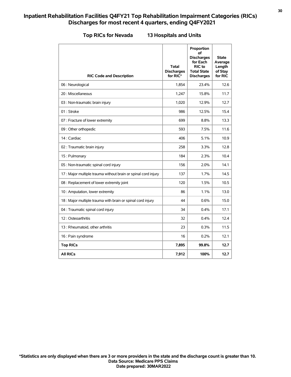| <b>RIC Code and Description</b>                                | <b>Total</b><br><b>Discharges</b><br>for RIC* | Proportion<br>of<br><b>Discharges</b><br>for Each<br>RIC to<br><b>Total State</b><br><b>Discharges</b> | <b>State</b><br>Average<br>Length<br>of Stay<br>for RIC |
|----------------------------------------------------------------|-----------------------------------------------|--------------------------------------------------------------------------------------------------------|---------------------------------------------------------|
| 06 : Neurological                                              | 1,854                                         | 23.4%                                                                                                  | 12.6                                                    |
| 20 : Miscellaneous                                             | 1,247                                         | 15.8%                                                                                                  | 11.7                                                    |
| 03 : Non-traumatic brain injury                                | 1,020                                         | 12.9%                                                                                                  | 12.7                                                    |
| 01: Stroke                                                     | 986                                           | 12.5%                                                                                                  | 15.4                                                    |
| 07 : Fracture of lower extremity                               | 699                                           | 8.8%                                                                                                   | 13.3                                                    |
| 09 : Other orthopedic                                          | 593                                           | 7.5%                                                                                                   | 11.6                                                    |
| 14 : Cardiac                                                   | 406                                           | 5.1%                                                                                                   | 10.9                                                    |
| 02 : Traumatic brain injury                                    | 258                                           | 3.3%                                                                                                   | 12.8                                                    |
| 15: Pulmonary                                                  | 184                                           | 2.3%                                                                                                   | 10.4                                                    |
| 05 : Non-traumatic spinal cord injury                          | 156                                           | 2.0%                                                                                                   | 14.1                                                    |
| 17 : Major multiple trauma without brain or spinal cord injury | 137                                           | 1.7%                                                                                                   | 14.5                                                    |
| 08 : Replacement of lower extremity joint                      | 120                                           | 1.5%                                                                                                   | 10.5                                                    |
| 10 : Amputation, lower extremity                               | 86                                            | 1.1%                                                                                                   | 13.0                                                    |
| 18 : Major multiple trauma with brain or spinal cord injury    | 44                                            | 0.6%                                                                                                   | 15.0                                                    |
| 04 : Traumatic spinal cord injury                              | 34                                            | 0.4%                                                                                                   | 17.1                                                    |
| 12: Osteoarthritis                                             | 32                                            | 0.4%                                                                                                   | 12.4                                                    |
| 13 : Rheumatoid, other arthritis                               | 23                                            | 0.3%                                                                                                   | 11.5                                                    |
| 16 : Pain syndrome                                             | 16                                            | 0.2%                                                                                                   | 12.1                                                    |
| <b>Top RICs</b>                                                | 7,895                                         | 99.8%                                                                                                  | 12.7                                                    |
| <b>All RICs</b>                                                | 7,912                                         | 100%                                                                                                   | 12.7                                                    |

### **Top RICs for Nevada 13 Hospitals and Units**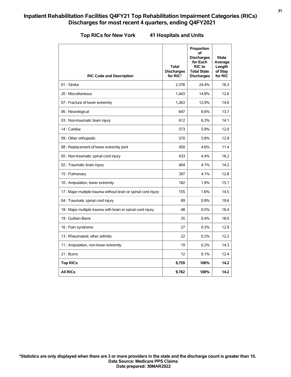| <b>RIC Code and Description</b>                                | Total<br><b>Discharges</b><br>for RIC* | Proportion<br>of<br><b>Discharges</b><br>for Each<br><b>RIC</b> to<br><b>Total State</b><br><b>Discharges</b> | <b>State</b><br>Average<br>Length<br>of Stay<br>for RIC |
|----------------------------------------------------------------|----------------------------------------|---------------------------------------------------------------------------------------------------------------|---------------------------------------------------------|
| 01: Stroke                                                     | 2,378                                  | 24.4%                                                                                                         | 16.3                                                    |
| 20 : Miscellaneous                                             | 1,443                                  | 14.8%                                                                                                         | 12.6                                                    |
| 07 : Fracture of lower extremity                               | 1,263                                  | 12.9%                                                                                                         | 14.0                                                    |
| 06 : Neurological                                              | 647                                    | 6.6%                                                                                                          | 13.7                                                    |
| 03 : Non-traumatic brain injury                                | 612                                    | 6.3%                                                                                                          | 14.1                                                    |
| 14 : Cardiac                                                   | 573                                    | 5.9%                                                                                                          | 12.0                                                    |
| 09 : Other orthopedic                                          | 570                                    | 5.8%                                                                                                          | 12.9                                                    |
| 08 : Replacement of lower extremity joint                      | 450                                    | 4.6%                                                                                                          | 11.4                                                    |
| 05 : Non-traumatic spinal cord injury                          | 433                                    | 4.4%                                                                                                          | 16.2                                                    |
| 02 : Traumatic brain injury                                    | 404                                    | 4.1%                                                                                                          | 14.2                                                    |
| 15: Pulmonary                                                  | 397                                    | 4.1%                                                                                                          | 12.8                                                    |
| 10 : Amputation, lower extremity                               | 182                                    | 1.9%                                                                                                          | 15.1                                                    |
| 17 : Major multiple trauma without brain or spinal cord injury | 155                                    | 1.6%                                                                                                          | 14.5                                                    |
| 04 : Traumatic spinal cord injury                              | 89                                     | 0.9%                                                                                                          | 19.6                                                    |
| 18 : Major multiple trauma with brain or spinal cord injury    | 48                                     | 0.5%                                                                                                          | 16.4                                                    |
| 19 : Guillain Barre                                            | 35                                     | 0.4%                                                                                                          | 18.0                                                    |
| 16 : Pain syndrome                                             | 27                                     | 0.3%                                                                                                          | 12.9                                                    |
| 13: Rheumatoid, other arthritis                                | 22                                     | 0.2%                                                                                                          | 12.2                                                    |
| 11 : Amputation, non-lower extremity                           | 19                                     | 0.2%                                                                                                          | 14.3                                                    |
| 21 : Burns                                                     | 12                                     | 0.1%                                                                                                          | 12.4                                                    |
| <b>Top RICs</b>                                                | 9,759                                  | 100%                                                                                                          | 14.2                                                    |

#### **Top RICs for New York 41 Hospitals and Units**

**All RICs 9,762 100% 14.2**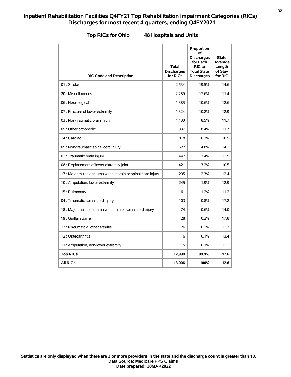| <b>RIC Code and Description</b>                                | <b>Total</b><br><b>Discharges</b><br>for RIC* | Proportion<br>οf<br><b>Discharges</b><br>for Each<br>RIC to<br><b>Total State</b><br><b>Discharges</b> | <b>State</b><br>Average<br>Length<br>of Stay<br>for RIC |
|----------------------------------------------------------------|-----------------------------------------------|--------------------------------------------------------------------------------------------------------|---------------------------------------------------------|
| 01: Stroke                                                     | 2,534                                         | 19.5%                                                                                                  | 14.6                                                    |
| 20 : Miscellaneous                                             | 2,289                                         | 17.6%                                                                                                  | 11.4                                                    |
| 06 : Neurological                                              | 1,385                                         | 10.6%                                                                                                  | 12.6                                                    |
| 07 : Fracture of lower extremity                               | 1,324                                         | 10.2%                                                                                                  | 12.9                                                    |
| 03 : Non-traumatic brain injury                                | 1,100                                         | 8.5%                                                                                                   | 11.7                                                    |
| 09 : Other orthopedic                                          | 1.087                                         | 8.4%                                                                                                   | 11.7                                                    |
| 14 : Cardiac                                                   | 818                                           | 6.3%                                                                                                   | 10.9                                                    |
| 05 : Non-traumatic spinal cord injury                          | 622                                           | 4.8%                                                                                                   | 14.2                                                    |
| 02 : Traumatic brain injury                                    | 447                                           | 3.4%                                                                                                   | 12.9                                                    |
| 08 : Replacement of lower extremity joint                      | 421                                           | 3.2%                                                                                                   | 10.5                                                    |
| 17 : Major multiple trauma without brain or spinal cord injury | 295                                           | 2.3%                                                                                                   | 12.4                                                    |
| 10 : Amputation, lower extremity                               | 245                                           | 1.9%                                                                                                   | 12.9                                                    |
| 15: Pulmonary                                                  | 161                                           | 1.2%                                                                                                   | 11.2                                                    |
| 04 : Traumatic spinal cord injury                              | 103                                           | 0.8%                                                                                                   | 17.2                                                    |
| 18 : Major multiple trauma with brain or spinal cord injury    | 74                                            | 0.6%                                                                                                   | 14.0                                                    |
| 19 : Guillain Barre                                            | 28                                            | 0.2%                                                                                                   | 17.8                                                    |
| 13 : Rheumatoid, other arthritis                               | 26                                            | 0.2%                                                                                                   | 12.3                                                    |
| 12: Osteoarthritis                                             | 16                                            | 0.1%                                                                                                   | 13.4                                                    |
| 11 : Amputation, non-lower extremity                           | 15                                            | 0.1%                                                                                                   | 12.2                                                    |
| <b>Top RICs</b>                                                | 12,990                                        | 99.9%                                                                                                  | 12.6                                                    |
| <b>All RICs</b>                                                | 13,006                                        | 100%                                                                                                   | 12.6                                                    |

**Top RICs for Ohio 48 Hospitals and Units**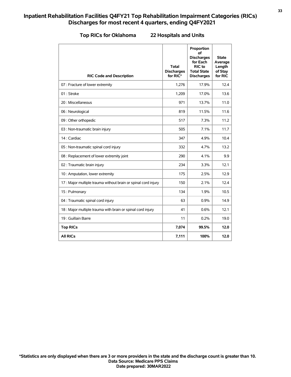| <b>RIC Code and Description</b>                                | <b>Total</b><br><b>Discharges</b><br>for RIC* | Proportion<br>οf<br><b>Discharges</b><br>for Each<br>RIC to<br><b>Total State</b><br><b>Discharges</b> | <b>State</b><br>Average<br>Length<br>of Stay<br>for RIC |
|----------------------------------------------------------------|-----------------------------------------------|--------------------------------------------------------------------------------------------------------|---------------------------------------------------------|
| 07 : Fracture of lower extremity                               | 1,276                                         | 17.9%                                                                                                  | 12.4                                                    |
| 01: Stroke                                                     | 1,209                                         | 17.0%                                                                                                  | 13.6                                                    |
| 20 : Miscellaneous                                             | 971                                           | 13.7%                                                                                                  | 11.0                                                    |
| 06 : Neurological                                              | 819                                           | 11.5%                                                                                                  | 11.6                                                    |
| 09 : Other orthopedic                                          | 517                                           | 7.3%                                                                                                   | 11.2                                                    |
| 03 : Non-traumatic brain injury                                | 505                                           | 7.1%                                                                                                   | 11.7                                                    |
| 14 : Cardiac                                                   | 347                                           | 4.9%                                                                                                   | 10.4                                                    |
| 05 : Non-traumatic spinal cord injury                          | 332                                           | 4.7%                                                                                                   | 13.2                                                    |
| 08 : Replacement of lower extremity joint                      | 290                                           | 4.1%                                                                                                   | 9.9                                                     |
| 02 : Traumatic brain injury                                    | 234                                           | 3.3%                                                                                                   | 12.1                                                    |
| 10 : Amputation, lower extremity                               | 175                                           | 2.5%                                                                                                   | 12.9                                                    |
| 17 : Major multiple trauma without brain or spinal cord injury | 150                                           | 2.1%                                                                                                   | 12.4                                                    |
| 15: Pulmonary                                                  | 134                                           | 1.9%                                                                                                   | 10.5                                                    |
| 04 : Traumatic spinal cord injury                              | 63                                            | 0.9%                                                                                                   | 14.9                                                    |
| 18 : Major multiple trauma with brain or spinal cord injury    | 41                                            | 0.6%                                                                                                   | 12.1                                                    |
| 19 : Guillain Barre                                            | 11                                            | 0.2%                                                                                                   | 19.0                                                    |
| <b>Top RICs</b>                                                | 7,074                                         | 99.5%                                                                                                  | 12.0                                                    |
| <b>All RICs</b>                                                | 7,111                                         | 100%                                                                                                   | 12.0                                                    |

### **Top RICs for Oklahoma 22 Hospitals and Units**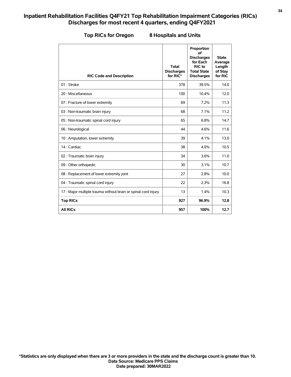| <b>RIC Code and Description</b>                                | <b>Total</b><br><b>Discharges</b><br>for RIC* | Proportion<br>of<br><b>Discharges</b><br>for Each<br>RIC to<br><b>Total State</b><br><b>Discharges</b> | <b>State</b><br>Average<br>Length<br>of Stay<br>for RIC |
|----------------------------------------------------------------|-----------------------------------------------|--------------------------------------------------------------------------------------------------------|---------------------------------------------------------|
| 01: Stroke                                                     | 378                                           | 39.5%                                                                                                  | 14.0                                                    |
| 20 : Miscellaneous                                             | 100                                           | 10.4%                                                                                                  | 12.0                                                    |
| 07 : Fracture of lower extremity                               | 69                                            | 7.2%                                                                                                   | 11.3                                                    |
| 03 : Non-traumatic brain injury                                | 68                                            | 7.1%                                                                                                   | 11.2                                                    |
| 05 : Non-traumatic spinal cord injury                          | 65                                            | 6.8%                                                                                                   | 14.7                                                    |
| 06 : Neurological                                              | 44                                            | 4.6%                                                                                                   | 11.6                                                    |
| 10 : Amputation, lower extremity                               | 39                                            | 4.1%                                                                                                   | 13.0                                                    |
| 14 : Cardiac                                                   | 38                                            | 4.0%                                                                                                   | 10.5                                                    |
| 02 : Traumatic brain injury                                    | 34                                            | 3.6%                                                                                                   | 11.0                                                    |
| 09 : Other orthopedic                                          | 30                                            | 3.1%                                                                                                   | 10.7                                                    |
| 08 : Replacement of lower extremity joint                      | 27                                            | 2.8%                                                                                                   | 10.0                                                    |
| 04 : Traumatic spinal cord injury                              | 22                                            | 2.3%                                                                                                   | 16.8                                                    |
| 17 : Major multiple trauma without brain or spinal cord injury | 13                                            | 1.4%                                                                                                   | 10.3                                                    |
| <b>Top RICs</b>                                                | 927                                           | 96.9%                                                                                                  | 12.8                                                    |
| <b>All RICs</b>                                                | 957                                           | 100%                                                                                                   | 12.7                                                    |

#### **Top RICs for Oregon 8 Hospitals and Units**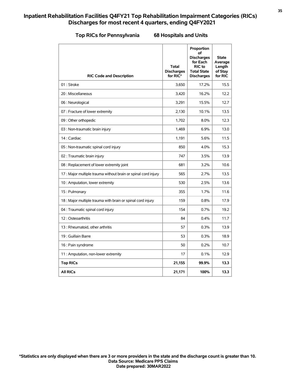|  | <b>Top RICs for Pennsylvania</b> |  |  |  |  |
|--|----------------------------------|--|--|--|--|
|--|----------------------------------|--|--|--|--|

# **Top RICs for Pennsylvania 68 Hospitals and Units**

| <b>RIC Code and Description</b>                               | <b>Total</b><br><b>Discharges</b><br>for RIC* | Proportion<br>οf<br><b>Discharges</b><br>for Each<br><b>RIC</b> to<br><b>Total State</b><br><b>Discharges</b> | <b>State</b><br>Average<br>Length<br>of Stay<br>for RIC |
|---------------------------------------------------------------|-----------------------------------------------|---------------------------------------------------------------------------------------------------------------|---------------------------------------------------------|
| 01 : Stroke                                                   | 3.650                                         | 17.2%                                                                                                         | 15.5                                                    |
| 20 : Miscellaneous                                            | 3,420                                         | 16.2%                                                                                                         | 12.2                                                    |
| 06 : Neurological                                             | 3,291                                         | 15.5%                                                                                                         | 12.7                                                    |
| 07 : Fracture of lower extremity                              | 2,130                                         | 10.1%                                                                                                         | 13.5                                                    |
| 09 : Other orthopedic                                         | 1,702                                         | 8.0%                                                                                                          | 12.3                                                    |
| 03 : Non-traumatic brain injury                               | 1,469                                         | 6.9%                                                                                                          | 13.0                                                    |
| 14 : Cardiac                                                  | 1,191                                         | 5.6%                                                                                                          | 11.5                                                    |
| 05 : Non-traumatic spinal cord injury                         | 850                                           | 4.0%                                                                                                          | 15.3                                                    |
| 02 : Traumatic brain injury                                   | 747                                           | 3.5%                                                                                                          | 13.9                                                    |
| 08 : Replacement of lower extremity joint                     | 681                                           | 3.2%                                                                                                          | 10.6                                                    |
| 17: Major multiple trauma without brain or spinal cord injury | 565                                           | 2.7%                                                                                                          | 13.5                                                    |
| 10 : Amputation, lower extremity                              | 530                                           | 2.5%                                                                                                          | 13.6                                                    |
| 15: Pulmonary                                                 | 355                                           | 1.7%                                                                                                          | 11.6                                                    |
| 18 : Major multiple trauma with brain or spinal cord injury   | 159                                           | 0.8%                                                                                                          | 17.9                                                    |
| 04 : Traumatic spinal cord injury                             | 154                                           | 0.7%                                                                                                          | 19.2                                                    |
| 12: Osteoarthritis                                            | 84                                            | 0.4%                                                                                                          | 11.7                                                    |
| 13 : Rheumatoid, other arthritis                              | 57                                            | 0.3%                                                                                                          | 13.9                                                    |
| 19 : Guillain Barre                                           | 53                                            | 0.3%                                                                                                          | 18.9                                                    |
| 16 : Pain syndrome                                            | 50                                            | 0.2%                                                                                                          | 10.7                                                    |
| 11 : Amputation, non-lower extremity                          | 17                                            | 0.1%                                                                                                          | 12.9                                                    |
| <b>Top RICs</b>                                               | 21,155                                        | 99.9%                                                                                                         | 13.3                                                    |
| <b>All RICs</b>                                               | 21,171                                        | 100%                                                                                                          | 13.3                                                    |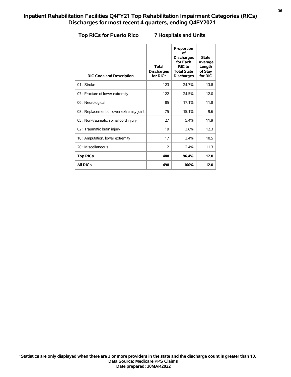#### **Top RICs for Puerto Rico 7 Hospitals and Units**

| <b>RIC Code and Description</b>           | <b>Total</b><br><b>Discharges</b><br>for RIC* | Proportion<br>οf<br><b>Discharges</b><br>for Each<br><b>RIC</b> to<br><b>Total State</b><br><b>Discharges</b> | <b>State</b><br>Average<br>Length<br>of Stay<br>for RIC |
|-------------------------------------------|-----------------------------------------------|---------------------------------------------------------------------------------------------------------------|---------------------------------------------------------|
| 01: Stroke                                | 123                                           | 24 7%                                                                                                         | 13.8                                                    |
| 07 : Fracture of lower extremity          | 122                                           | 24.5%                                                                                                         | 12.0                                                    |
| 06 : Neurological                         | 85                                            | 17.1%                                                                                                         | 11.8                                                    |
| 08 : Replacement of lower extremity joint | 75                                            | 15.1%                                                                                                         | 9.6                                                     |
| 05 : Non-traumatic spinal cord injury     | 27                                            | 5.4%                                                                                                          | 11.9                                                    |
| 02 : Traumatic brain injury               | 19                                            | 3.8%                                                                                                          | 12.3                                                    |
| 10 : Amputation, lower extremity          | 17                                            | 3.4%                                                                                                          | 10.5                                                    |
| 20 : Miscellaneous                        | 12                                            | 2.4%                                                                                                          | 11.3                                                    |
| <b>Top RICs</b>                           | 480                                           | 96.4%                                                                                                         | 12.0                                                    |
| <b>All RICs</b>                           | 498                                           | 100%                                                                                                          | 12.0                                                    |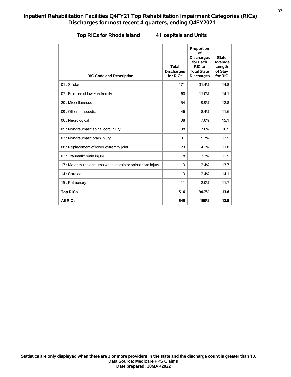#### **Top RICs for Rhode Island 4 Hospitals and Units**

| <b>RIC Code and Description</b>                               | <b>Total</b><br><b>Discharges</b><br>for RIC* | Proportion<br>of<br><b>Discharges</b><br>for Each<br>RIC to<br><b>Total State</b><br><b>Discharges</b> | <b>State</b><br>Average<br>Length<br>of Stay<br>for RIC |
|---------------------------------------------------------------|-----------------------------------------------|--------------------------------------------------------------------------------------------------------|---------------------------------------------------------|
| 01: Stroke                                                    | 171                                           | 31.4%                                                                                                  | 14.8                                                    |
| 07 : Fracture of lower extremity                              | 60                                            | 11.0%                                                                                                  | 14.1                                                    |
| 20 : Miscellaneous                                            | 54                                            | 9.9%                                                                                                   | 12.8                                                    |
| 09 : Other orthopedic                                         | 46                                            | 8.4%                                                                                                   | 11.6                                                    |
| 06 : Neurological                                             | 38                                            | 7.0%                                                                                                   | 15.1                                                    |
| 05 : Non-traumatic spinal cord injury                         | 38                                            | 7.0%                                                                                                   | 10.5                                                    |
| 03 : Non-traumatic brain injury                               | 31                                            | 5.7%                                                                                                   | 13.9                                                    |
| 08 : Replacement of lower extremity joint                     | 23                                            | 4.2%                                                                                                   | 11.8                                                    |
| 02 : Traumatic brain injury                                   | 18                                            | 3.3%                                                                                                   | 12.9                                                    |
| 17: Major multiple trauma without brain or spinal cord injury | 13                                            | 2.4%                                                                                                   | 13.7                                                    |
| 14 : Cardiac                                                  | 13                                            | 2.4%                                                                                                   | 14.1                                                    |
| 15: Pulmonary                                                 | 11                                            | 2.0%                                                                                                   | 11.7                                                    |
| <b>Top RICs</b>                                               | 516                                           | 94.7%                                                                                                  | 13.6                                                    |
| <b>All RICs</b>                                               | 545                                           | 100%                                                                                                   | 13.5                                                    |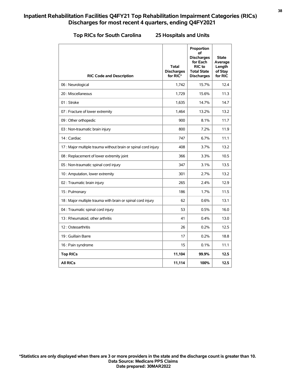#### **Top RICs for South Carolina 25 Hospitals and Units**

| <b>RIC Code and Description</b>                                | <b>Total</b><br><b>Discharges</b><br>for RIC* | Proportion<br>οf<br><b>Discharges</b><br>for Each<br>RIC to<br><b>Total State</b><br><b>Discharges</b> | <b>State</b><br>Average<br>Length<br>of Stay<br>for RIC |
|----------------------------------------------------------------|-----------------------------------------------|--------------------------------------------------------------------------------------------------------|---------------------------------------------------------|
| 06 : Neurological                                              | 1,742                                         | 15.7%                                                                                                  | 12.4                                                    |
| 20 : Miscellaneous                                             | 1,729                                         | 15.6%                                                                                                  | 11.3                                                    |
| 01: Stroke                                                     | 1,635                                         | 14.7%                                                                                                  | 14.7                                                    |
| 07 : Fracture of lower extremity                               | 1,464                                         | 13.2%                                                                                                  | 13.2                                                    |
| 09 : Other orthopedic                                          | 900                                           | 8.1%                                                                                                   | 11.7                                                    |
| 03 : Non-traumatic brain injury                                | 800                                           | 7.2%                                                                                                   | 11.9                                                    |
| 14 : Cardiac                                                   | 747                                           | 6.7%                                                                                                   | 11.1                                                    |
| 17 : Major multiple trauma without brain or spinal cord injury | 408                                           | 3.7%                                                                                                   | 13.2                                                    |
| 08 : Replacement of lower extremity joint                      | 366                                           | 3.3%                                                                                                   | 10.5                                                    |
| 05 : Non-traumatic spinal cord injury                          | 347                                           | 3.1%                                                                                                   | 13.5                                                    |
| 10 : Amputation, lower extremity                               | 301                                           | 2.7%                                                                                                   | 13.2                                                    |
| 02 : Traumatic brain injury                                    | 265                                           | 2.4%                                                                                                   | 12.9                                                    |
| 15: Pulmonary                                                  | 186                                           | 1.7%                                                                                                   | 11.5                                                    |
| 18 : Major multiple trauma with brain or spinal cord injury    | 62                                            | 0.6%                                                                                                   | 13.1                                                    |
| 04 : Traumatic spinal cord injury                              | 53                                            | 0.5%                                                                                                   | 16.0                                                    |
| 13: Rheumatoid, other arthritis                                | 41                                            | 0.4%                                                                                                   | 13.0                                                    |
| 12: Osteoarthritis                                             | 26                                            | 0.2%                                                                                                   | 12.5                                                    |
| 19 : Guillain Barre                                            | 17                                            | 0.2%                                                                                                   | 18.8                                                    |
| 16 : Pain syndrome                                             | 15                                            | 0.1%                                                                                                   | 11.1                                                    |
| <b>Top RICs</b>                                                | 11,104                                        | 99.9%                                                                                                  | 12.5                                                    |
| <b>All RICs</b>                                                | 11,114                                        | 100%                                                                                                   | 12.5                                                    |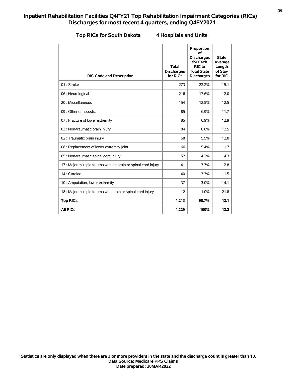|  |  |  |  | <b>Top RICs for South Dakota</b> |
|--|--|--|--|----------------------------------|
|--|--|--|--|----------------------------------|

#### **The Rica A** Hospitals and Units

| <b>RIC Code and Description</b>                                | <b>Total</b><br><b>Discharges</b><br>for RIC* | Proportion<br>of<br><b>Discharges</b><br>for Each<br><b>RIC</b> to<br><b>Total State</b><br><b>Discharges</b> | <b>State</b><br>Average<br>Length<br>of Stay<br>for RIC |
|----------------------------------------------------------------|-----------------------------------------------|---------------------------------------------------------------------------------------------------------------|---------------------------------------------------------|
| 01: Stroke                                                     | 273                                           | 22.2%                                                                                                         | 15.1                                                    |
| 06 : Neurological                                              | 216                                           | 17.6%                                                                                                         | 12.0                                                    |
| 20 : Miscellaneous                                             | 154                                           | 12.5%                                                                                                         | 12.5                                                    |
| 09 : Other orthopedic                                          | 85                                            | 6.9%                                                                                                          | 11.7                                                    |
| 07 : Fracture of lower extremity                               | 85                                            | 6.9%                                                                                                          | 12.9                                                    |
| 03 : Non-traumatic brain injury                                | 84                                            | 6.8%                                                                                                          | 12.5                                                    |
| 02 : Traumatic brain injury                                    | 68                                            | 5.5%                                                                                                          | 12.8                                                    |
| 08 : Replacement of lower extremity joint                      | 66                                            | 5.4%                                                                                                          | 11.7                                                    |
| 05 : Non-traumatic spinal cord injury                          | 52                                            | 4.2%                                                                                                          | 14.3                                                    |
| 17 : Major multiple trauma without brain or spinal cord injury | 41                                            | 3.3%                                                                                                          | 12.8                                                    |
| 14 : Cardiac                                                   | 40                                            | 3.3%                                                                                                          | 11.5                                                    |
| 10 : Amputation, lower extremity                               | 37                                            | 3.0%                                                                                                          | 14.1                                                    |
| 18 : Major multiple trauma with brain or spinal cord injury    | 12                                            | 1.0%                                                                                                          | 21.8                                                    |
| <b>Top RICs</b>                                                | 1,213                                         | 98.7%                                                                                                         | 13.1                                                    |
| <b>All RICs</b>                                                | 1,229                                         | 100%                                                                                                          | 13.2                                                    |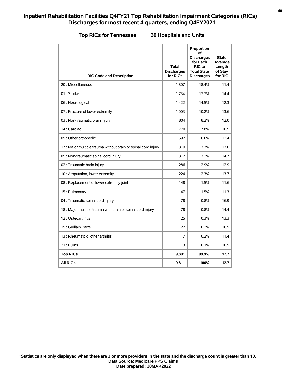#### **Top RICs for Tennessee 30 Hospitals and Units**

| <b>RIC Code and Description</b>                                | <b>Total</b><br><b>Discharges</b><br>for RIC* | Proportion<br>οf<br><b>Discharges</b><br>for Each<br>RIC to<br><b>Total State</b><br><b>Discharges</b> | <b>State</b><br>Average<br>Length<br>of Stay<br>for RIC |
|----------------------------------------------------------------|-----------------------------------------------|--------------------------------------------------------------------------------------------------------|---------------------------------------------------------|
| 20 : Miscellaneous                                             | 1,807                                         | 18.4%                                                                                                  | 11.4                                                    |
| 01: Stroke                                                     | 1.734                                         | 17.7%                                                                                                  | 14.4                                                    |
| 06 : Neurological                                              | 1,422                                         | 14.5%                                                                                                  | 12.3                                                    |
| 07 : Fracture of lower extremity                               | 1,003                                         | 10.2%                                                                                                  | 13.6                                                    |
| 03 : Non-traumatic brain injury                                | 804                                           | 8.2%                                                                                                   | 12.0                                                    |
| 14 : Cardiac                                                   | 770                                           | 7.8%                                                                                                   | 10.5                                                    |
| 09 : Other orthopedic                                          | 592                                           | 6.0%                                                                                                   | 12.4                                                    |
| 17 : Major multiple trauma without brain or spinal cord injury | 319                                           | 3.3%                                                                                                   | 13.0                                                    |
| 05 : Non-traumatic spinal cord injury                          | 312                                           | 3.2%                                                                                                   | 14.7                                                    |
| 02 : Traumatic brain injury                                    | 286                                           | 2.9%                                                                                                   | 12.9                                                    |
| 10 : Amputation, lower extremity                               | 224                                           | 2.3%                                                                                                   | 13.7                                                    |
| 08 : Replacement of lower extremity joint                      | 148                                           | 1.5%                                                                                                   | 11.6                                                    |
| 15: Pulmonary                                                  | 147                                           | 1.5%                                                                                                   | 11.3                                                    |
| 04 : Traumatic spinal cord injury                              | 78                                            | 0.8%                                                                                                   | 16.9                                                    |
| 18 : Major multiple trauma with brain or spinal cord injury    | 78                                            | 0.8%                                                                                                   | 14.4                                                    |
| 12: Osteoarthritis                                             | 25                                            | 0.3%                                                                                                   | 13.3                                                    |
| 19 : Guillain Barre                                            | 22                                            | 0.2%                                                                                                   | 16.9                                                    |
| 13 : Rheumatoid, other arthritis                               | 17                                            | 0.2%                                                                                                   | 11.4                                                    |
| 21: Bums                                                       | 13                                            | 0.1%                                                                                                   | 10.9                                                    |
| <b>Top RICs</b>                                                | 9,801                                         | 99.9%                                                                                                  | 12.7                                                    |
| <b>All RICs</b>                                                | 9,811                                         | 100%                                                                                                   | 12.7                                                    |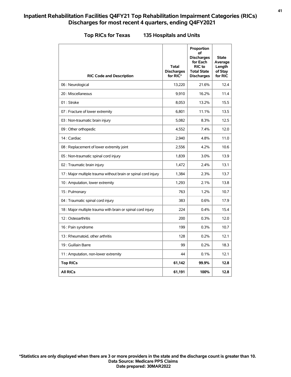| <b>RIC Code and Description</b>                               | Total<br><b>Discharges</b><br>for RIC* | Proportion<br>of<br><b>Discharges</b><br>for Each<br>RIC to<br><b>Total State</b><br><b>Discharges</b> | State<br>Average<br>Length<br>of Stay<br>for RIC |
|---------------------------------------------------------------|----------------------------------------|--------------------------------------------------------------------------------------------------------|--------------------------------------------------|
| 06 : Neurological                                             | 13,220                                 | 21.6%                                                                                                  | 12.4                                             |
| 20 : Miscellaneous                                            | 9,910                                  | 16.2%                                                                                                  | 11.4                                             |
| 01: Stroke                                                    | 8,053                                  | 13.2%                                                                                                  | 15.5                                             |
| 07 : Fracture of lower extremity                              | 6,801                                  | 11.1%                                                                                                  | 13.5                                             |
| 03 : Non-traumatic brain injury                               | 5,082                                  | 8.3%                                                                                                   | 12.5                                             |
| 09 : Other orthopedic                                         | 4,552                                  | 7.4%                                                                                                   | 12.0                                             |
| 14 : Cardiac                                                  | 2,940                                  | 4.8%                                                                                                   | 11.0                                             |
| 08 : Replacement of lower extremity joint                     | 2,556                                  | 4.2%                                                                                                   | 10.6                                             |
| 05 : Non-traumatic spinal cord injury                         | 1,839                                  | 3.0%                                                                                                   | 13.9                                             |
| 02 : Traumatic brain injury                                   | 1,472                                  | 2.4%                                                                                                   | 13.1                                             |
| 17: Major multiple trauma without brain or spinal cord injury | 1,384                                  | 2.3%                                                                                                   | 13.7                                             |
| 10 : Amputation, lower extremity                              | 1.293                                  | 2.1%                                                                                                   | 13.8                                             |
| 15: Pulmonary                                                 | 763                                    | 1.2%                                                                                                   | 10.7                                             |
| 04 : Traumatic spinal cord injury                             | 383                                    | 0.6%                                                                                                   | 17.9                                             |
| 18 : Major multiple trauma with brain or spinal cord injury   | 224                                    | 0.4%                                                                                                   | 15.4                                             |
| 12: Osteoarthritis                                            | 200                                    | 0.3%                                                                                                   | 12.0                                             |
| 16 : Pain syndrome                                            | 199                                    | 0.3%                                                                                                   | 10.7                                             |
| 13 : Rheumatoid, other arthritis                              | 128                                    | 0.2%                                                                                                   | 12.1                                             |
| 19 : Guillain Barre                                           | 99                                     | 0.2%                                                                                                   | 18.3                                             |
| 11 : Amputation, non-lower extremity                          | 44                                     | 0.1%                                                                                                   | 12.1                                             |
| <b>Top RICs</b>                                               | 61,142                                 | 99.9%                                                                                                  | 12.8                                             |
| <b>All RICs</b>                                               | 61,191                                 | 100%                                                                                                   | 12.8                                             |

#### **Top RICs for Texas 135 Hospitals and Units**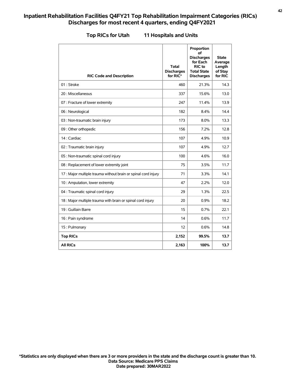| <b>RIC Code and Description</b>                                | Total<br><b>Discharges</b><br>for RIC* | Proportion<br>οf<br><b>Discharges</b><br>for Each<br>RIC to<br><b>Total State</b><br><b>Discharges</b> | <b>State</b><br>Average<br>Length<br>of Stay<br>for RIC |
|----------------------------------------------------------------|----------------------------------------|--------------------------------------------------------------------------------------------------------|---------------------------------------------------------|
| 01: Stroke                                                     | 460                                    | 21.3%                                                                                                  | 14.3                                                    |
| 20 : Miscellaneous                                             | 337                                    | 15.6%                                                                                                  | 13.0                                                    |
| 07 : Fracture of lower extremity                               | 247                                    | 11.4%                                                                                                  | 13.9                                                    |
| 06 : Neurological                                              | 182                                    | 8.4%                                                                                                   | 14.4                                                    |
| 03 : Non-traumatic brain injury                                | 173                                    | 8.0%                                                                                                   | 13.3                                                    |
| 09 : Other orthopedic                                          | 156                                    | 7.2%                                                                                                   | 12.8                                                    |
| 14 : Cardiac                                                   | 107                                    | 4.9%                                                                                                   | 10.9                                                    |
| 02 : Traumatic brain injury                                    | 107                                    | 4.9%                                                                                                   | 12.7                                                    |
| 05 : Non-traumatic spinal cord injury                          | 100                                    | 4.6%                                                                                                   | 16.0                                                    |
| 08 : Replacement of lower extremity joint                      | 75                                     | 3.5%                                                                                                   | 11.7                                                    |
| 17 : Major multiple trauma without brain or spinal cord injury | 71                                     | 3.3%                                                                                                   | 14.1                                                    |
| 10 : Amputation, lower extremity                               | 47                                     | 2.2%                                                                                                   | 12.0                                                    |
| 04 : Traumatic spinal cord injury                              | 29                                     | 1.3%                                                                                                   | 22.5                                                    |
| 18 : Major multiple trauma with brain or spinal cord injury    | 20                                     | 0.9%                                                                                                   | 18.2                                                    |
| 19 : Guillain Barre                                            | 15                                     | 0.7%                                                                                                   | 22.1                                                    |
| 16 : Pain syndrome                                             | 14                                     | 0.6%                                                                                                   | 11.7                                                    |
| 15: Pulmonary                                                  | 12                                     | 0.6%                                                                                                   | 14.8                                                    |
| <b>Top RICs</b>                                                | 2,152                                  | 99.5%                                                                                                  | 13.7                                                    |
| <b>All RICs</b>                                                | 2,163                                  | 100%                                                                                                   | 13.7                                                    |

**Top RICs for Utah 11 Hospitals and Units**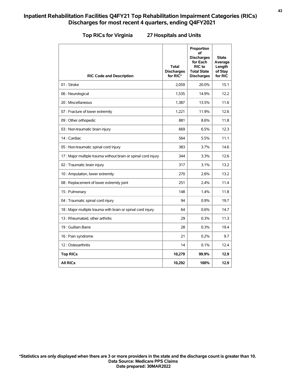| <b>RIC Code and Description</b>                               | <b>Total</b><br><b>Discharges</b><br>for RIC* | Proportion<br>οf<br><b>Discharges</b><br>for Each<br>RIC to<br><b>Total State</b><br><b>Discharges</b> | State<br>Average<br>Length<br>of Stay<br>for RIC |
|---------------------------------------------------------------|-----------------------------------------------|--------------------------------------------------------------------------------------------------------|--------------------------------------------------|
| 01: Stroke                                                    | 2,059                                         | 20.0%                                                                                                  | 15.1                                             |
| 06 : Neurological                                             | 1,535                                         | 14.9%                                                                                                  | 12.2                                             |
| 20 : Miscellaneous                                            | 1,387                                         | 13.5%                                                                                                  | 11.6                                             |
| 07 : Fracture of lower extremity                              | 1,221                                         | 11.9%                                                                                                  | 12.6                                             |
| 09 : Other orthopedic                                         | 881                                           | 8.6%                                                                                                   | 11.8                                             |
| 03 : Non-traumatic brain injury                               | 669                                           | 6.5%                                                                                                   | 12.3                                             |
| 14 : Cardiac                                                  | 564                                           | 5.5%                                                                                                   | 11.1                                             |
| 05 : Non-traumatic spinal cord injury                         | 383                                           | 3.7%                                                                                                   | 14.6                                             |
| 17: Major multiple trauma without brain or spinal cord injury | 344                                           | 3.3%                                                                                                   | 12.6                                             |
| 02 : Traumatic brain injury                                   | 317                                           | 3.1%                                                                                                   | 13.2                                             |
| 10 : Amputation, lower extremity                              | 270                                           | 2.6%                                                                                                   | 13.2                                             |
| 08 : Replacement of lower extremity joint                     | 251                                           | 2.4%                                                                                                   | 11.4                                             |
| 15: Pulmonary                                                 | 148                                           | 1.4%                                                                                                   | 11.8                                             |
| 04 : Traumatic spinal cord injury                             | 94                                            | 0.9%                                                                                                   | 19.7                                             |
| 18 : Major multiple trauma with brain or spinal cord injury   | 64                                            | 0.6%                                                                                                   | 14.7                                             |
| 13 : Rheumatoid, other arthritis                              | 29                                            | 0.3%                                                                                                   | 11.3                                             |
| 19 : Guillain Barre                                           | 28                                            | 0.3%                                                                                                   | 19.4                                             |
| 16 : Pain syndrome                                            | 21                                            | 0.2%                                                                                                   | 9.7                                              |
| 12: Osteoarthritis                                            | 14                                            | 0.1%                                                                                                   | 12.4                                             |
| <b>Top RICs</b>                                               | 10,279                                        | 99.9%                                                                                                  | 12.9                                             |
| <b>All RICs</b>                                               | 10,292                                        | 100%                                                                                                   | 12.9                                             |

### **Top RICs for Virginia 27 Hospitals and Units**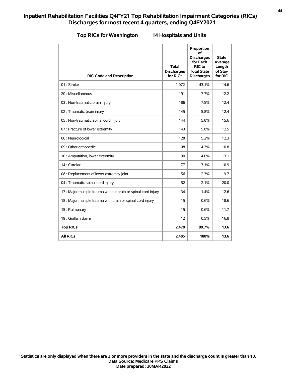|  | <b>Top RICs for Washingtor</b> |  |  |  |  |
|--|--------------------------------|--|--|--|--|
|--|--------------------------------|--|--|--|--|

# **Top RICs for Washington 14 Hospitals and Units**

| <b>RIC Code and Description</b>                                | Total<br><b>Discharges</b><br>for RIC* | Proportion<br>οf<br><b>Discharges</b><br>for Each<br>RIC to<br><b>Total State</b><br><b>Discharges</b> | <b>State</b><br>Average<br>Length<br>of Stay<br>for RIC |
|----------------------------------------------------------------|----------------------------------------|--------------------------------------------------------------------------------------------------------|---------------------------------------------------------|
| 01: Stroke                                                     | 1,072                                  | 43.1%                                                                                                  | 14.6                                                    |
| 20 : Miscellaneous                                             | 191                                    | 7.7%                                                                                                   | 12.2                                                    |
| 03 : Non-traumatic brain injury                                | 186                                    | 7.5%                                                                                                   | 12.4                                                    |
| 02 : Traumatic brain injury                                    | 145                                    | 5.8%                                                                                                   | 12.4                                                    |
| 05 : Non-traumatic spinal cord injury                          | 144                                    | 5.8%                                                                                                   | 15.6                                                    |
| 07 : Fracture of lower extremity                               | 143                                    | 5.8%                                                                                                   | 12.5                                                    |
| 06 : Neurological                                              | 128                                    | 5.2%                                                                                                   | 12.3                                                    |
| 09 : Other orthopedic                                          | 108                                    | 4.3%                                                                                                   | 10.8                                                    |
| 10 : Amputation, lower extremity                               | 100                                    | 4.0%                                                                                                   | 13.1                                                    |
| 14 : Cardiac                                                   | 77                                     | 3.1%                                                                                                   | 10.9                                                    |
| 08 : Replacement of lower extremity joint                      | 56                                     | 2.3%                                                                                                   | 9.7                                                     |
| 04 : Traumatic spinal cord injury                              | 52                                     | 2.1%                                                                                                   | 20.0                                                    |
| 17 : Major multiple trauma without brain or spinal cord injury | 34                                     | 1.4%                                                                                                   | 12.6                                                    |
| 18 : Major multiple trauma with brain or spinal cord injury    | 15                                     | 0.6%                                                                                                   | 18.6                                                    |
| 15: Pulmonary                                                  | 15                                     | 0.6%                                                                                                   | 11.7                                                    |
| 19 : Guillain Barre                                            | 12                                     | 0.5%                                                                                                   | 16.8                                                    |
| <b>Top RICs</b>                                                | 2,478                                  | 99.7%                                                                                                  | 13.6                                                    |
| <b>All RICs</b>                                                | 2.485                                  | 100%                                                                                                   | 13.6                                                    |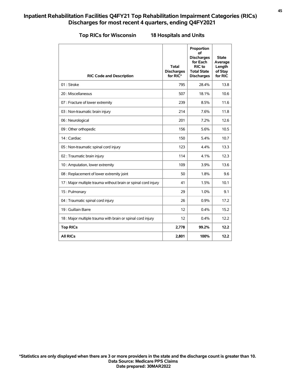|  |  | <b>Top RICs for Wisconsir</b> |  |
|--|--|-------------------------------|--|
|  |  |                               |  |

#### **Top RICs for Wisconsin 18 Hospitals and Units**

| <b>RIC Code and Description</b>                                | <b>Total</b><br><b>Discharges</b><br>for RIC* | Proportion<br>οf<br><b>Discharges</b><br>for Each<br>RIC to<br><b>Total State</b><br><b>Discharges</b> | <b>State</b><br>Average<br>Length<br>of Stay<br>for RIC |
|----------------------------------------------------------------|-----------------------------------------------|--------------------------------------------------------------------------------------------------------|---------------------------------------------------------|
| 01: Stroke                                                     | 795                                           | 28.4%                                                                                                  | 13.8                                                    |
| 20 : Miscellaneous                                             | 507                                           | 18.1%                                                                                                  | 10.6                                                    |
| 07 : Fracture of lower extremity                               | 239                                           | 8.5%                                                                                                   | 11.6                                                    |
| 03 : Non-traumatic brain injury                                | 214                                           | 7.6%                                                                                                   | 11.8                                                    |
| 06 : Neurological                                              | 201                                           | 7.2%                                                                                                   | 12.6                                                    |
| 09 : Other orthopedic                                          | 156                                           | 5.6%                                                                                                   | 10.5                                                    |
| 14 : Cardiac                                                   | 150                                           | 5.4%                                                                                                   | 10.7                                                    |
| 05 : Non-traumatic spinal cord injury                          | 123                                           | 4.4%                                                                                                   | 13.3                                                    |
| 02 : Traumatic brain injury                                    | 114                                           | 4.1%                                                                                                   | 12.3                                                    |
| 10 : Amputation, lower extremity                               | 109                                           | 3.9%                                                                                                   | 13.6                                                    |
| 08 : Replacement of lower extremity joint                      | 50                                            | 1.8%                                                                                                   | 9.6                                                     |
| 17 : Major multiple trauma without brain or spinal cord injury | 41                                            | 1.5%                                                                                                   | 10.1                                                    |
| 15: Pulmonary                                                  | 29                                            | 1.0%                                                                                                   | 9.1                                                     |
| 04 : Traumatic spinal cord injury                              | 26                                            | 0.9%                                                                                                   | 17.2                                                    |
| 19 : Guillain Barre                                            | 12                                            | 0.4%                                                                                                   | 15.2                                                    |
| 18 : Major multiple trauma with brain or spinal cord injury    | 12                                            | 0.4%                                                                                                   | 12.2                                                    |
| <b>Top RICs</b>                                                | 2,778                                         | 99.2%                                                                                                  | 12.2                                                    |
| <b>All RICs</b>                                                | 2.801                                         | 100%                                                                                                   | 12.2                                                    |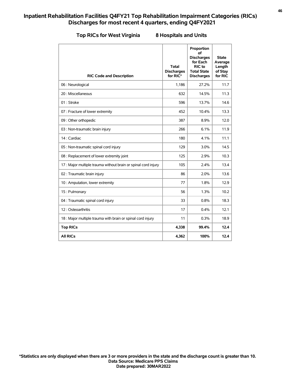|  |  |  |  | <b>Top RICs for West Virginia</b> |
|--|--|--|--|-----------------------------------|
|--|--|--|--|-----------------------------------|

# **Top RICs for West Virginia 8 Hospitals and Units**

| <b>RIC Code and Description</b>                                | <b>Total</b><br><b>Discharges</b><br>for RIC* | Proportion<br>οf<br><b>Discharges</b><br>for Each<br>RIC to<br><b>Total State</b><br><b>Discharges</b> | <b>State</b><br>Average<br>Length<br>of Stay<br>for RIC |
|----------------------------------------------------------------|-----------------------------------------------|--------------------------------------------------------------------------------------------------------|---------------------------------------------------------|
| 06 : Neurological                                              | 1,186                                         | 27.2%                                                                                                  | 11.7                                                    |
| 20 : Miscellaneous                                             | 632                                           | 14.5%                                                                                                  | 11.3                                                    |
| 01: Stroke                                                     | 596                                           | 13.7%                                                                                                  | 14.6                                                    |
| 07 : Fracture of lower extremity                               | 452                                           | 10.4%                                                                                                  | 13.3                                                    |
| 09 : Other orthopedic                                          | 387                                           | 8.9%                                                                                                   | 12.0                                                    |
| 03 : Non-traumatic brain injury                                | 266                                           | 6.1%                                                                                                   | 11.9                                                    |
| 14 : Cardiac                                                   | 180                                           | 4.1%                                                                                                   | 11.1                                                    |
| 05 : Non-traumatic spinal cord injury                          | 129                                           | 3.0%                                                                                                   | 14.5                                                    |
| 08 : Replacement of lower extremity joint                      | 125                                           | 2.9%                                                                                                   | 10.3                                                    |
| 17 : Major multiple trauma without brain or spinal cord injury | 105                                           | 2.4%                                                                                                   | 13.4                                                    |
| 02 : Traumatic brain injury                                    | 86                                            | 2.0%                                                                                                   | 13.6                                                    |
| 10 : Amputation, lower extremity                               | 77                                            | 1.8%                                                                                                   | 12.9                                                    |
| 15: Pulmonary                                                  | 56                                            | 1.3%                                                                                                   | 10.2                                                    |
| 04 : Traumatic spinal cord injury                              | 33                                            | 0.8%                                                                                                   | 18.3                                                    |
| 12: Osteoarthritis                                             | 17                                            | 0.4%                                                                                                   | 12.1                                                    |
| 18 : Major multiple trauma with brain or spinal cord injury    | 11                                            | 0.3%                                                                                                   | 18.9                                                    |
| <b>Top RICs</b>                                                | 4,338                                         | 99.4%                                                                                                  | 12.4                                                    |
| <b>All RICs</b>                                                | 4.362                                         | 100%                                                                                                   | 12.4                                                    |